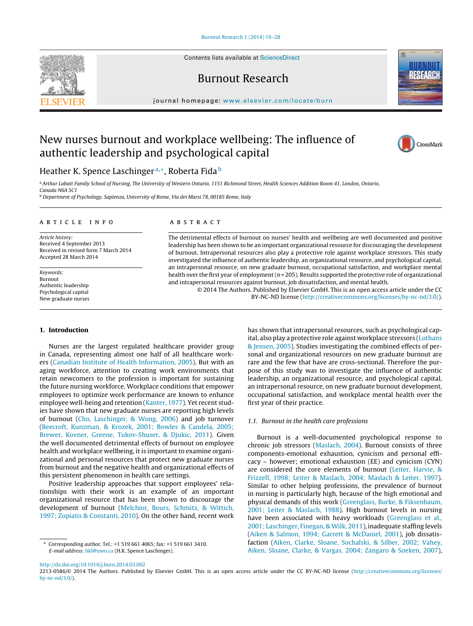Contents lists available at [ScienceDirect](http://www.sciencedirect.com/science/journal/aip/22130586)

# Burnout Research

iournal homepage: [www.elsevier.com/locate/burn](http://www.elsevier.com/locate/burn)

# New nurses burnout and workplace wellbeing: The influence of authentic leadership and psychological capital



a Arthur Labatt Family School of Nursing, The University of Western Ontario, 1151 Richmond Street, Health Sciences Addition Room 41, London, Ontario, Canada N6A 5C1

<sup>b</sup> Department of Psychology, Sapienza, University of Rome, Via dei Marsi 78, 00185 Rome, Italy

## a r t i c l e i n f o

Article history: Received 4 September 2013 Received in revised form 7 March 2014 Accepted 28 March 2014

Keywords: Burnout Authentic leadership Psychological capital New graduate nurses

### **1. Introduction**

Nurses are the largest regulated healthcare provider group in Canada, representing almost one half of all healthcare workers ([Canadian](#page-8-0) [Institute](#page-8-0) [of](#page-8-0) [Health](#page-8-0) [Information,](#page-8-0) [2005\).](#page-8-0) But with an aging workforce, attention to creating work environments that retain newcomers to the profession is important for sustaining the future nursing workforce. Workplace conditions that empower employees to optimize work performance are known to enhance employee well-being and retention ([Kanter,](#page-8-0) [1977\).](#page-8-0) Yet recent studies have shown that new graduate nurses are reporting high levels of burnout ([Cho,](#page-8-0) [Laschinger,](#page-8-0) [&](#page-8-0) [Wong,](#page-8-0) [2006\)](#page-8-0) and job turnover ([Beecroft,](#page-7-0) [Kunzman,](#page-7-0) [&](#page-7-0) [Krozek,](#page-7-0) [2001;](#page-7-0) [Bowles](#page-7-0) [&](#page-7-0) [Candela,](#page-7-0) [2005;](#page-7-0) [Brewer,](#page-7-0) [Kovner,](#page-7-0) [Greene,](#page-7-0) [Tukov-Shuser,](#page-7-0) [&](#page-7-0) [Djukic,](#page-7-0) [2011\).](#page-7-0) Given the well documented detrimental effects of burnout on employee health and workplace wellbeing, it is important to examine organizational and personal resources that protect new graduate nurses from burnout and the negative health and organizational effects of this persistent phenomenon in health care settings.

Positive leadership approaches that support employees' relationships with their work is an example of an important organizational resource that has been shown to discourage the development of burnout ([Melchior,](#page-8-0) [Bours,](#page-8-0) [Schmitz,](#page-8-0) [&](#page-8-0) [Wittich,](#page-8-0) [1997;](#page-8-0) [Zopiatis](#page-8-0) [&](#page-8-0) [Constanti,](#page-8-0) [2010\).](#page-8-0) On the other hand, recent work

# A B S T R A C T

The detrimental effects of burnout on nurses' health and wellbeing are well documented and positive leadership has been shown to be an important organizational resource for discouraging the development of burnout. Intrapersonal resources also play a protective role against workplace stressors. This study investigated the influence of authentic leadership, an organizational resource, and psychological capital, an intrapersonal resource, on new graduate burnout, occupational satisfaction, and workplace mental health over the first year of employment ( $n = 205$ ). Results supported the protective role of organizational and intrapersonal resources against burnout, job dissatisfaction, and mental health.

> © 2014 The Authors. Published by Elsevier GmbH. This is an open access article under the CC BY-NC-ND license [\(http://creativecommons.org/licenses/by-nc-nd/3.0/](http://creativecommons.org/licenses/by-nc-nd/3.0/)).

> > has shown that intrapersonal resources, such as psychological capital, also play a protective role against workplace stressors ([Luthans](#page-8-0) [&](#page-8-0) [Jensen,](#page-8-0) [2005\).](#page-8-0) Studies investigating the combined effects of personal and organizational resources on new graduate burnout are rare and the few that have are cross-sectional. Therefore the purpose of this study was to investigate the influence of authentic leadership, an organizational resource, and psychological capital, an intrapersonal resource, on new graduate burnout development, occupational satisfaction, and workplace mental health over the first year of their practice.

#### 1.1. Burnout in the health care professions

Burnout is a well-documented psychological response to chronic job stressors ([Maslach,](#page-8-0) [2004\).](#page-8-0) Burnout consists of three components-emotional exhaustion, cynicism and personal efficacy – however; emotional exhaustion (EE) and cynicism (CYN) are considered the core elements of burnout [\(Leiter,](#page-8-0) [Harvie,](#page-8-0) [&](#page-8-0) [Frizzell,](#page-8-0) [1998;](#page-8-0) [Leiter](#page-8-0) [&](#page-8-0) [Maslach,](#page-8-0) [2004;](#page-8-0) [Maslach](#page-8-0) [&](#page-8-0) [Leiter,](#page-8-0) [1997\).](#page-8-0) Similar to other helping professions, the prevalence of burnout in nursing is particularly high, because of the high emotional and physical demands of this work [\(Greenglass,](#page-8-0) [Burke,](#page-8-0) [&](#page-8-0) [Fiksenbaum,](#page-8-0) [2001;](#page-8-0) [Leiter](#page-8-0) [&](#page-8-0) [Maslach,](#page-8-0) [1988\).](#page-8-0) High burnout levels in nursing have been associated with heavy workloads ([Greenglass](#page-8-0) et [al.,](#page-8-0) [2001;](#page-8-0) [Laschinger,](#page-8-0) [Finegan,](#page-8-0) [&](#page-8-0) [Wilk,](#page-8-0) [2011\),](#page-8-0) inadequate staffing levels [\(Aiken](#page-7-0) [&](#page-7-0) [Salmon,](#page-7-0) [1994;](#page-7-0) [Garrett](#page-7-0) [&](#page-7-0) [McDaniel,](#page-7-0) [2001\),](#page-7-0) job dissatisfaction [\(Aiken,](#page-7-0) [Clarke,](#page-7-0) [Sloane,](#page-7-0) [Sochalski,](#page-7-0) [&](#page-7-0) [Silber,](#page-7-0) [2002;](#page-7-0) [Vahey,](#page-7-0) [Aiken,](#page-7-0) [Sloane,](#page-7-0) [Clarke,](#page-7-0) [&](#page-7-0) [Vargas,](#page-7-0) [2004;](#page-7-0) [Zangaro](#page-7-0) [&](#page-7-0) [Soeken,](#page-7-0) [2007\),](#page-7-0)

[http://dx.doi.org/10.1016/j.burn.2014.03.002](dx.doi.org/10.1016/j.burn.2014.03.002)





CrossMark

<sup>∗</sup> Corresponding author. Tel.: +1 519 661 4065; fax: +1 519 661 3410. E-mail address: [hkl@uwo.ca](mailto:hkl@uwo.ca) (H.K. Spence Laschinger).

<sup>2213-0586/© 2014</sup> The Authors. Published by Elsevier GmbH. This is an open access article under the CC BY-NC-ND license [\(http://creativecommons.org/licenses/](http://creativecommons.org/licenses/by-nc-nd/3.0/) [by-nc-nd/3.0/\)](http://creativecommons.org/licenses/by-nc-nd/3.0/).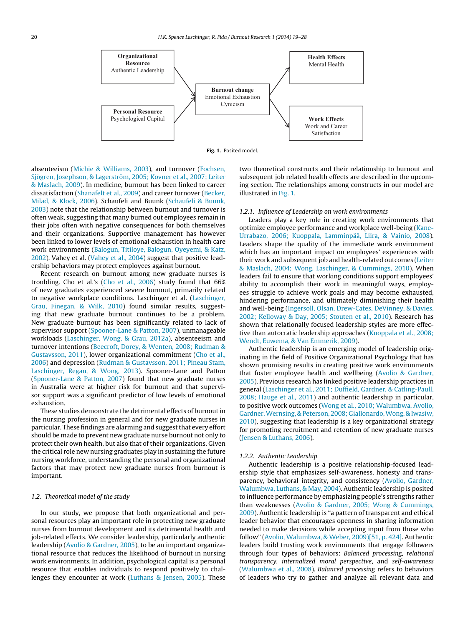



absenteeism [\(Michie](#page-8-0) [&](#page-8-0) [Williams,](#page-8-0) [2003\),](#page-8-0) and turnover ([Fochsen,](#page-8-0) [Sjögren,](#page-8-0) [Josephson,](#page-8-0) [&](#page-8-0) [Lagerström,](#page-8-0) [2005;](#page-8-0) [Kovner](#page-8-0) et [al.,](#page-8-0) [2007;](#page-8-0) [Leiter](#page-8-0) [&](#page-8-0) [Maslach,](#page-8-0) [2009\).](#page-8-0) In medicine, burnout has been linked to career dissatisfaction ([Shanafelt](#page-9-0) et [al.,](#page-9-0) [2009\)](#page-9-0) and career turnover ([Becker,](#page-7-0) [Milad,](#page-7-0) [&](#page-7-0) [Klock,](#page-7-0) [2006\).](#page-7-0) Schaufeli and Buunk ([Schaufeli](#page-8-0) [&](#page-8-0) [Buunk,](#page-8-0) [2003\)](#page-8-0) note that the relationship between burnout and turnover is often weak, suggesting that many burned out employees remain in their jobs often with negative consequences for both themselves and their organizations. Supportive management has however been linked to lower levels of emotional exhaustion in health care work environments [\(Balogun,](#page-7-0) [Titiloye,](#page-7-0) [Balogun,](#page-7-0) [Oyeyemi,](#page-7-0) [&](#page-7-0) [Katz,](#page-7-0) [2002\).](#page-7-0) Vahey et al. ([Vahey](#page-9-0) et [al.,](#page-9-0) [2004\)](#page-9-0) suggest that positive leadership behaviors may protect employees against burnout.

Recent research on burnout among new graduate nurses is troubling. Cho et al.'s [\(Cho](#page-8-0) et [al.,](#page-8-0) [2006\)](#page-8-0) study found that 66% of new graduates experienced severe burnout, primarily related to negative workplace conditions. Laschinger et al. ([Laschinger,](#page-8-0) [Grau,](#page-8-0) [Finegan,](#page-8-0) [&](#page-8-0) [Wilk,](#page-8-0) [2010\)](#page-8-0) found similar results, suggesting that new graduate burnout continues to be a problem. New graduate burnout has been significantly related to lack of supervisor support [\(Spooner-Lane](#page-9-0) [&](#page-9-0) [Patton,](#page-9-0) [2007\),](#page-9-0) unmanageable workloads [\(Laschinger,](#page-8-0) [Wong,](#page-8-0) [&](#page-8-0) [Grau,](#page-8-0) [2012a\),](#page-8-0) absenteeism and turnover intentions [\(Beecroft,](#page-8-0) [Dorey,](#page-8-0) [&](#page-8-0) [Wenten,](#page-8-0) [2008;](#page-8-0) [Rudman](#page-8-0) [&](#page-8-0) [Gustavsson,](#page-8-0) [2011\),](#page-8-0) lower organizational commitment [\(Cho](#page-8-0) et [al.,](#page-8-0) [2006\)](#page-8-0) and depression ([Rudman](#page-8-0) [&](#page-8-0) [Gustavsson,](#page-8-0) [2011;](#page-8-0) [Pineau](#page-8-0) [Stam,](#page-8-0) [Laschinger,](#page-8-0) [Regan,](#page-8-0) [&](#page-8-0) [Wong,](#page-8-0) [2013\).](#page-8-0) Spooner-Lane and Patton ([Spooner-Lane](#page-9-0) [&](#page-9-0) [Patton,](#page-9-0) [2007\)](#page-9-0) found that new graduate nurses in Australia were at higher risk for burnout and that supervisor support was a significant predictor of low levels of emotional exhaustion.

These studies demonstrate the detrimental effects of burnout in the nursing profession in general and for new graduate nurses in particular. These findings are alarming and suggest that every effort should be made to prevent new graduate nurse burnout not only to protect their own health, but also that of their organizations. Given the critical role new nursing graduates play in sustaining the future nursing workforce, understanding the personal and organizational factors that may protect new graduate nurses from burnout is important.

# 1.2. Theoretical model of the study

In our study, we propose that both organizational and personal resources play an important role in protecting new graduate nurses from burnout development and its detrimental health and job-related effects. We consider leadership, particularly authentic leadership [\(Avolio](#page-7-0) [&](#page-7-0) [Gardner,](#page-7-0) [2005\),](#page-7-0) to be an important organizational resource that reduces the likelihood of burnout in nursing work environments. In addition, psychological capital is a personal resource that enables individuals to respond positively to challenges they encounter at work [\(Luthans](#page-8-0) [&](#page-8-0) [Jensen,](#page-8-0) [2005\).](#page-8-0) These

two theoretical constructs and their relationship to burnout and subsequent job related health effects are described in the upcoming section. The relationships among constructs in our model are illustrated in Fig. 1.

#### 1.2.1. Influence of Leadership on work environments

Leaders play a key role in creating work environments that optimize employee performance and workplace well-being ([Kane-](#page-8-0)Urrabazo, [2006;](#page-8-0) [Kuoppala,](#page-8-0) [Lamminpää,](#page-8-0) [Liira,](#page-8-0) [&](#page-8-0) [Vainio,](#page-8-0) [2008\).](#page-8-0) Leaders shape the quality of the immediate work environment which has an important impact on employees' experiences with their work and subsequent job and health-related outcomes [\(Leiter](#page-8-0) [&](#page-8-0) [Maslach,](#page-8-0) [2004;](#page-8-0) [Wong,](#page-8-0) [Laschinger,](#page-8-0) [&](#page-8-0) [Cummings,](#page-8-0) [2010\).](#page-8-0) When leaders fail to ensure that working conditions support employees' ability to accomplish their work in meaningful ways, employees struggle to achieve work goals and may become exhausted, hindering performance, and ultimately diminishing their health and well-being [\(Ingersoll,](#page-8-0) [Olsan,](#page-8-0) [Drew-Cates,](#page-8-0) [DeVinney,](#page-8-0) [&](#page-8-0) [Davies,](#page-8-0) [2002;](#page-8-0) [Kelloway](#page-8-0) [&](#page-8-0) [Day,](#page-8-0) [2005;](#page-8-0) [Stouten](#page-8-0) et [al.,](#page-8-0) [2010\).](#page-8-0) Research has shown that relationally focused leadership styles are more effective than autocratic leadership approaches ([Kuoppala](#page-8-0) et [al.,](#page-8-0) [2008;](#page-8-0) [Wendt,](#page-8-0) [Euwema,](#page-8-0) [&](#page-8-0) [Van](#page-8-0) [Emmerik,](#page-8-0) [2009\).](#page-8-0)

Authentic leadership is an emerging model of leadership originating in the field of Positive Organizational Psychology that has shown promising results in creating positive work environments that foster employee health and wellbeing [\(Avolio](#page-7-0) [&](#page-7-0) [Gardner,](#page-7-0) [2005\).](#page-7-0) Previous research has linked positive leadership practices in general ([Laschinger](#page-8-0) et [al.,](#page-8-0) [2011;](#page-8-0) [Duffield,](#page-8-0) [Gardner,](#page-8-0) [&](#page-8-0) [Catling-Paull,](#page-8-0) [2008;](#page-8-0) [Hauge](#page-8-0) et [al.,](#page-8-0) [2011\)](#page-8-0) and authentic leadership in particular, to positive work outcomes [\(Wong](#page-9-0) et [al.,](#page-9-0) [2010;](#page-9-0) [Walumbwa,](#page-9-0) [Avolio,](#page-9-0) [Gardner,Wernsing,](#page-9-0) [&](#page-9-0) [Peterson,](#page-9-0) [2008;](#page-9-0) [Giallonardo,Wong,](#page-9-0) [&](#page-9-0) [Iwasiw,](#page-9-0) [2010\),](#page-9-0) suggesting that leadership is a key organizational strategy for promoting recruitment and retention of new graduate nurses [\(Jensen](#page-8-0) [&](#page-8-0) [Luthans,](#page-8-0) [2006\).](#page-8-0)

#### 1.2.2. Authentic Leadership

Authentic leadership is a positive relationship-focused leadership style that emphasizes self-awareness, honesty and transparency, behavioral integrity, and consistency ([Avolio,](#page-7-0) [Gardner,](#page-7-0) [Walumbwa,](#page-7-0) [Luthans,](#page-7-0) [&](#page-7-0) [May,](#page-7-0) [2004\).](#page-7-0) Authentic leadership is posited to influence performance by emphasizing people's strengths rather than weaknesses [\(Avolio](#page-7-0) [&](#page-7-0) [Gardner,](#page-7-0) [2005;](#page-7-0) [Wong](#page-7-0) [&](#page-7-0) [Cummings,](#page-7-0) [2009\).](#page-7-0) Authentic leadership is "a pattern of transparent and ethical leader behavior that encourages openness in sharing information needed to make decisions while accepting input from those who follow" [\(Avolio,](#page-7-0) [Walumbwa,](#page-7-0) [&](#page-7-0) [Weber,](#page-7-0) [2009\)\[51,](#page-7-0) [p.](#page-7-0) [424\].](#page-7-0) Authentic leaders build trusting work environments that engage followers through four types of behaviors: Balanced processing, relational transparency, internalized moral perspective, and self-awareness [\(Walumbwa](#page-9-0) et [al.,](#page-9-0) [2008\).](#page-9-0) Balanced processing refers to behaviors of leaders who try to gather and analyze all relevant data and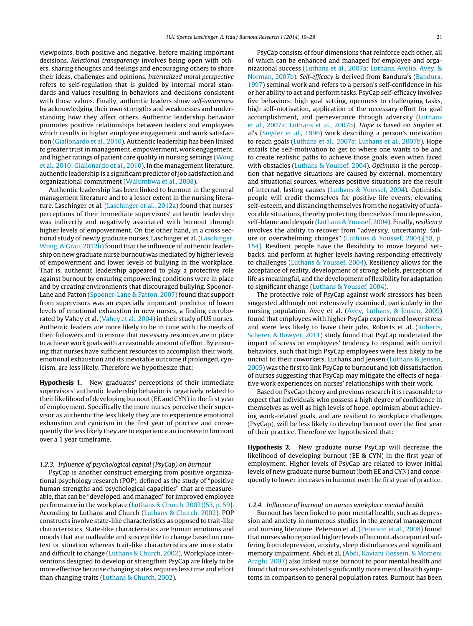viewpoints, both positive and negative, before making important decisions. Relational transparency involves being open with others, sharing thoughts and feelings and encouraging others to share their ideas, challenges and opinions. Internalized moral perspective refers to self-regulation that is guided by internal moral standards and values resulting in behaviors and decisions consistent with those values. Finally, authentic leaders show self-awareness by acknowledging their own strengths and weaknesses and understanding how they affect others. Authentic leadership behavior promotes positive relationships between leaders and employees which results in higher employee engagement and work satisfaction ([Giallonardo](#page-8-0) et [al.,](#page-8-0) [2010\).](#page-8-0) Authentic leadership has been linked to greater trustin management, empowerment, work engagement, and higher ratings of patient care quality in nursing settings [\(Wong](#page-9-0) et [al.,](#page-9-0) [2010;](#page-9-0) [Giallonardo](#page-9-0) et [al.,](#page-9-0) [2010\).](#page-9-0) In the management literature, authentic leadership is a significant predictor of job satisfaction and organizational commitment ([Walumbwa](#page-9-0) et [al.,](#page-9-0) [2008\).](#page-9-0)

Authentic leadership has been linked to burnout in the general management literature and to a lesser extent in the nursing literature. Laschinger et al. ([Laschinger](#page-8-0) et [al.,](#page-8-0) [2012a\)](#page-8-0) found that nurses' perceptions of their immediate supervisors' authentic leadership was indirectly and negatively associated with burnout through higher levels of empowerment. On the other hand, in a cross sectional study of newly graduate nurses, Laschinger et al.[\(Laschinger,](#page-8-0) [Wong,](#page-8-0) [&](#page-8-0) [Grau,](#page-8-0) [2012b\)](#page-8-0) found that the influence of authentic leadership on new graduate nurse burnout was mediated by higher levels of empowerment and lower levels of bullying in the workplace. That is, authentic leadership appeared to play a protective role against burnout by ensuring empowering conditions were in place and by creating environments that discouraged bullying. Spooner-Lane and Patton [\(Spooner-Lane](#page-9-0) [&](#page-9-0) [Patton,](#page-9-0) [2007\)](#page-9-0) found that support from supervisors was an especially important predictor of lower levels of emotional exhaustion in new nurses, a finding corroborated by Vahey et al. [\(Vahey](#page-9-0) et [al.,](#page-9-0) [2004\)](#page-9-0) in their study of US nurses. Authentic leaders are more likely to be in tune with the needs of their followers and to ensure that necessary resources are in place to achieve work goals with a reasonable amount of effort. By ensuring that nurses have sufficient resources to accomplish their work, emotional exhaustion and its inevitable outcome if prolonged, cynicism, are less likely. Therefore we hypothesize that:

**Hypothesis 1.** New graduates' perceptions of their immediate supervisors' authentic leadership behavior is negatively related to their likelihood of developing burnout (EE and CYN) in the first year of employment. Specifically the more nurses perceive their supervisor as authentic the less likely they are to experience emotional exhaustion and cynicism in the first year of practice and consequently the less likely they are to experience an increase in burnout over a 1 year timeframe.

# 1.2.3. Influence of psychological capital (PsyCap) on burnout

PsyCap is another construct emerging from positive organizational psychology research (POP), defined as the study of "positive human strengths and psychological capacities" that are measureable, that can be "developed, and managed" for improved employee performance in the workplace ([Luthans](#page-8-0) [&](#page-8-0) [Church,](#page-8-0) [2002\)\[53,](#page-8-0) [p.](#page-8-0) [59\].](#page-8-0) According to Luthans and Church [\(Luthans](#page-8-0) [&](#page-8-0) [Church,](#page-8-0) [2002\),](#page-8-0) POP constructs involve state-like characteristics as opposed to trait-like characteristics. State-like characteristics are human emotions and moods that are malleable and susceptible to change based on context or situation whereas trait-like characteristics are more static and difficult to change [\(Luthans](#page-8-0) [&](#page-8-0) [Church,](#page-8-0) [2002\).](#page-8-0) Workplace interventions designed to develop or strengthen PsyCap are likely to be more effective because changing states requires less time and effort than changing traits [\(Luthans](#page-8-0) [&](#page-8-0) [Church,](#page-8-0) [2002\).](#page-8-0)

PsyCap consists of four dimensions that reinforce each other, all of which can be enhanced and managed for employee and organizational success ([Luthans](#page-8-0) et [al.,](#page-8-0) [2007a;](#page-8-0) [Luthans,](#page-8-0) [Avolio,](#page-8-0) [Avey,](#page-8-0) [&](#page-8-0) [Norman,](#page-8-0) [2007b\).](#page-8-0) Self-efficacy is derived from Bandura's ([Bandura,](#page-7-0) [1997\)](#page-7-0) seminal work and refers to a person's self-confidence in his or her ability to act and perform tasks. PsyCap self-efficacy involves five behaviors: high goal setting, openness to challenging tasks, high self-motivation, application of the necessary effort for goal accomplishment, and perseverance through adversity ([Luthans](#page-8-0) et [al.,](#page-8-0) [2007a;](#page-8-0) [Luthans](#page-8-0) et [al.,](#page-8-0) [2007b\).](#page-8-0) Hope is based on Snyder et al's [\(Snyder](#page-9-0) et [al.,](#page-9-0) [1996\)](#page-9-0) work describing a person's motivation to reach goals [\(Luthans](#page-8-0) et [al.,](#page-8-0) [2007a;](#page-8-0) [Luthans](#page-8-0) et [al.,](#page-8-0) [2007b\).](#page-8-0) Hope entails the self-motivation to get to where one wants to be and to create realistic paths to achieve those goals, even when faced with obstacles ([Luthans](#page-8-0) [&](#page-8-0) [Youssef,](#page-8-0) [2004\).](#page-8-0) Optimism is the perception that negative situations are caused by external, momentary and situational sources, whereas positive situations are the result of internal, lasting causes ([Luthans](#page-8-0) [&](#page-8-0) [Youssef,](#page-8-0) [2004\).](#page-8-0) Optimistic people will credit themselves for positive life events, elevating self-esteem, and distancing themselves from the negativity of unfavorable situations, thereby protecting themselves from depression, self-blame and despair ([Luthans](#page-8-0) [&](#page-8-0) [Youssef,](#page-8-0) [2004\).](#page-8-0) Finally, resiliency involves the ability to recover from "adversity, uncertainty, failure or overwhelming changes" [\(Luthans](#page-8-0) [&](#page-8-0) [Youssef,](#page-8-0) [2004\)\[58,](#page-8-0) [p.](#page-8-0) [154\].](#page-8-0) Resilient people have the flexibility to move beyond setbacks, and perform at higher levels having responding effectively to challenges [\(Luthans](#page-8-0) [&](#page-8-0) [Youssef,](#page-8-0) [2004\).](#page-8-0) Resiliency allows for the acceptance of reality, development of strong beliefs, perception of life as meaningful, and the development of flexibility for adaptation to significant change [\(Luthans](#page-8-0) [&](#page-8-0) [Youssef,](#page-8-0) [2004\).](#page-8-0)

The protective role of PsyCap against work stressors has been suggested although not extensively examined, particularly in the nursing population. Avey et al. [\(Avey,](#page-7-0) [Luthans,](#page-7-0) [&](#page-7-0) [Jensen,](#page-7-0) [2009\)](#page-7-0) found that employees with higher PsyCap experienced lower stress and were less likely to leave their jobs. Roberts et al. ([Roberts,](#page-8-0) [Scherer,](#page-8-0) [&](#page-8-0) [Bowyer,](#page-8-0) [2011\)](#page-8-0) study found that PsyCap moderated the impact of stress on employees' tendency to respond with uncivil behaviors, such that high PsyCap employees were less likely to be uncivil to their coworkers. Luthans and Jensen ([Luthans](#page-8-0) [&](#page-8-0) [Jensen,](#page-8-0) [2005\)](#page-8-0) was the first to link PsyCap to burnout and job dissatisfaction of nurses suggesting that PsyCap may mitigate the effects of negative work experiences on nurses' relationships with their work.

Based on PsyCap theory and previous research it is reasonable to expect that individuals who possess a high degree of confidence in themselves as well as high levels of hope, optimism about achieving work-related goals, and are resilient to workplace challenges (PsyCap), will be less likely to develop burnout over the first year of their practice. Therefore we hypothesized that:

**Hypothesis 2.** New graduate nurse PsyCap will decrease the likelihood of developing burnout (EE & CYN) in the first year of employment. Higher levels of PsyCap are related to lower initial levels of new graduate nurse burnout (both EE and CYN) and consequently to lower increases in burnout over the first year of practice.

#### 1.2.4. Influence of burnout on nurses workplace mental health

Burnout has been linked to poor mental health, such as depression and anxiety in numerous studies in the general management and nursing literature. Peterson et al. [\(Peterson](#page-8-0) et [al.,](#page-8-0) [2008\)](#page-8-0) found that nurses who reported higher levels of burnout also reported suffering from depression, anxiety, sleep disturbances and significant memory impairment. Abdi et al. [\(Abdi,](#page-7-0) [Kaviani](#page-7-0) [Hossein,](#page-7-0) [&](#page-7-0) [Momeni](#page-7-0) [Araghi,](#page-7-0) [2007\)](#page-7-0) also linked nurse burnout to poor mental health and found that nurses exhibited significantly more mental health symptoms in comparison to general population rates. Burnout has been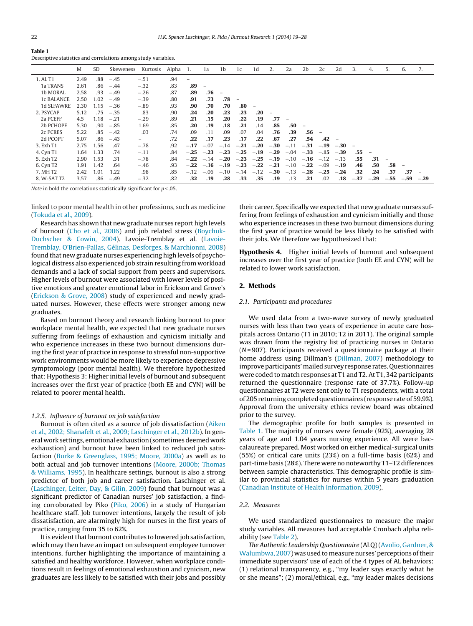<span id="page-3-0"></span>

| table t                                                        |  |  |
|----------------------------------------------------------------|--|--|
| Descriptive statistics and correlations among study variables. |  |  |

|                       | M    | <b>SD</b> | Skeweness | Kurtosis                 | Alpha | -1.                      | 1a                       | 1b                       | 1c                       | 1d                       | 2.                   | 2a     | 2 <sub>b</sub> | 2c            | 2d     | 3.     | 4.     | 5.     | 6.                       | 7.     |
|-----------------------|------|-----------|-----------|--------------------------|-------|--------------------------|--------------------------|--------------------------|--------------------------|--------------------------|----------------------|--------|----------------|---------------|--------|--------|--------|--------|--------------------------|--------|
| 1. AL T1              | 2.49 | .88       | $-.45$    | $-.51$                   | .94   | $\overline{\phantom{0}}$ |                          |                          |                          |                          |                      |        |                |               |        |        |        |        |                          |        |
| 1a TRANS              | 2.61 | .86       | $-.44$    | $-.32$                   | .83   | .89                      | $\overline{\phantom{m}}$ |                          |                          |                          |                      |        |                |               |        |        |        |        |                          |        |
| 1b MORAL              | 2.58 | .93       | $-.49$    | $-.26$                   | .87   | .89                      | .76                      | $\overline{\phantom{m}}$ |                          |                          |                      |        |                |               |        |        |        |        |                          |        |
| 1c BALANCE            | 2.50 | 1.02      | $-.49$    | $-.39$                   | .80   | .91                      | .73                      | .78                      | $\overline{\phantom{m}}$ |                          |                      |        |                |               |        |        |        |        |                          |        |
| 1d SLFAWRE            | 2.30 | 1.15      | $-.36$    | $-.89$                   | .93   | .90                      | .70                      | .70                      | .80                      | $\overline{\phantom{m}}$ |                      |        |                |               |        |        |        |        |                          |        |
| 2. PSYCAP             | 5.12 | .75       | $-.35$    | .83                      | .90   | .24                      | .20                      | .23                      | .23                      | .20                      |                      |        |                |               |        |        |        |        |                          |        |
| 2a PCEFF              | 4.5  | 1.18      | $-.21$    | $-.29$                   | .89   | .21                      | .15                      | .20                      | .22                      | .19                      | .77                  |        |                |               |        |        |        |        |                          |        |
| 2b PCHOPE             | 5.30 | .90       | $-.85$    | 1.69                     | .85   | .20                      | .19                      | .18                      | .21                      | .14                      | .85                  | .50    |                |               |        |        |        |        |                          |        |
| 2c PCRES              | 5.22 | .85       | $-.42$    | .03                      | .74   | .09                      | .11                      | .09                      | .07                      | .04                      | .76                  | .39    | .56            |               |        |        |        |        |                          |        |
| 2d PCOPT              | 5.07 | .86       | $-.43$    | $\overline{\phantom{0}}$ | .72   | .22                      | .17                      | $.23\phantom{0}$         | .17                      | .22                      | .67                  | .27    | .54            | .42           |        |        |        |        |                          |        |
| 3. Exh T1             | 2.75 | 1.56      | .47       | $-.78$                   | .92   | $-.17$                   | $-.07$                   | $-.14$                   | $-.21$                   | $-.20$                   | $-.30$               | $-.11$ | $-.31$         | $-.19$        | $-.30$ |        |        |        |                          |        |
| 4. Cyn T1             | 1.64 | 1.33      | .74       | $-.11$                   | .84   | $-.25$                   | $-.23$                   | $-.23$                   | $-.25-.19$               |                          | $-.29$               | $-.04$ | $-.33$         | $-.15$        | $-.39$ | .55    |        |        |                          |        |
| 5. Exh T2             | 2.90 | 1.53      | .31       | $-.78$                   | .84   | $-.22$                   | $-.14$                   | $-.20$                   |                          |                          | $-.23$ $-.25$ $-.19$ | $-.10$ |                | $-.16$ $-.12$ | $-.13$ | .55    | .31    |        |                          |        |
| 6. Cyn T <sub>2</sub> | 1.91 | 1.42      | .64       | $-.46$                   | .93   | $-.22$                   | $-.16$                   | $-.19$                   |                          | $-.23$ $-.22$ $-.21$     |                      | $-.10$ | $-.22$         | $-.09$        | $-.19$ | .46    | .50    | .58    | $\overline{\phantom{0}}$ |        |
| 7. MH T2              | 2.42 | 1.01      | 1.22      | .98                      | .85   | $-.12$                   | $-.06$                   | $-.10$                   | $-.14$                   | $-.12$                   | $-.30$               | $-.13$ | $-.28$         | $-.25$        | $-.24$ | .32    | .24    | .37    | .37                      |        |
| 8. W-SAT T2           | 3.57 | .86       | $-.49$    | $-.32$                   | .82   | .32                      | .19                      | .28                      | .33                      | .35                      | .19                  | .13    | .21            | .02           | .18    | $-.37$ | $-.29$ | $-.55$ | $-.59$                   | $-.29$ |

Note in bold the correlations statistically significant for  $p < 0.05$ .

linked to poor mental health in other professions, such as medicine ([Tokuda](#page-9-0) et [al.,](#page-9-0) [2009\).](#page-9-0)

Research has shown that new graduate nurses report high levels of burnout ([Cho](#page-8-0) et [al.,](#page-8-0) [2006\)](#page-8-0) and job related stress [\(Boychuk-](#page-8-0)Duchscher [&](#page-8-0) [Cowin,](#page-8-0) [2004\).](#page-8-0) Lavoie-Tremblay et al. ([Lavoie-](#page-8-0)Tremblay, [O'Brien-Pallas,](#page-8-0) [Gélinas,](#page-8-0) [Desforges,](#page-8-0) [&](#page-8-0) [Marchionni,](#page-8-0) [2008\)](#page-8-0) found that new graduate nurses experiencing high levels of psychological distress also experienced job strain resulting from workload demands and a lack of social support from peers and supervisors. Higher levels of burnout were associated with lower levels of positive emotions and greater emotional labor in Erickson and Grove's ([Erickson](#page-8-0) [&](#page-8-0) [Grove,](#page-8-0) [2008\)](#page-8-0) study of experienced and newly graduated nurses. However, these effects were stronger among new graduates.

Based on burnout theory and research linking burnout to poor workplace mental health, we expected that new graduate nurses suffering from feelings of exhaustion and cynicism initially and who experience increases in these two burnout dimensions during the first year of practice in response to stressful non-supportive work environments would be more likely to experience depressive symptomology (poor mental health). We therefore hypothesized that: Hypothesis 3: Higher initial levels of burnout and subsequent increases over the first year of practice (both EE and CYN) will be related to poorer mental health.

### 1.2.5. Influence of burnout on job satisfaction

Burnout is often cited as a source of job dissatisfaction ([Aiken](#page-7-0) et [al.,](#page-7-0) [2002;](#page-7-0) [Shanafelt](#page-7-0) et [al.,](#page-7-0) [2009;](#page-7-0) [Laschinger](#page-7-0) et [al.,](#page-7-0) [2012b\).](#page-7-0) In general work settings, emotional exhaustion (sometimes deemed work exhaustion) and burnout have been linked to reduced job satisfaction ([Burke](#page-8-0) [&](#page-8-0) [Greenglass,](#page-8-0) [1995;](#page-8-0) [Moore,](#page-8-0) [2000a\)](#page-8-0) as well as to both actual and job turnover intentions [\(Moore,](#page-8-0) [2000b;](#page-8-0) [Thomas](#page-8-0) [&](#page-8-0) [Williams,](#page-8-0) [1995\).](#page-8-0) In healthcare settings, burnout is also a strong predictor of both job and career satisfaction. Laschinger et al. ([Laschinger,](#page-8-0) [Leiter,](#page-8-0) [Day,](#page-8-0) [&](#page-8-0) [Gilin,](#page-8-0) [2009\)](#page-8-0) found that burnout was a significant predictor of Canadian nurses' job satisfaction, a finding corroborated by Piko [\(Piko,](#page-8-0) [2006\)](#page-8-0) in a study of Hungarian healthcare staff. Job turnover intentions, largely the result of job dissatisfaction, are alarmingly high for nurses in the first years of practice, ranging from 35 to 62%.

It is evident that burnout contributes to lowered job satisfaction, which may then have an impact on subsequent employee turnover intentions, further highlighting the importance of maintaining a satisfied and healthy workforce. However, when workplace conditions result in feelings of emotional exhaustion and cynicism, new graduates are less likely to be satisfied with their jobs and possibly

their career. Specifically we expected that new graduate nurses suffering from feelings of exhaustion and cynicism initially and those who experience increases in these two burnout dimensions during the first year of practice would be less likely to be satisfied with their jobs. We therefore we hypothesized that:

**Hypothesis 4.** Higher initial levels of burnout and subsequent increases over the first year of practice (both EE and CYN) will be related to lower work satisfaction.

# **2. Methods**

## 2.1. Participants and procedures

We used data from a two-wave survey of newly graduated nurses with less than two years of experience in acute care hospitals across Ontario (T1 in 2010; T2 in 2011). The original sample was drawn from the registry list of practicing nurses in Ontario  $(N=907)$ . Participants received a questionnaire package at their home address using Dillman's [\(Dillman,](#page-8-0) [2007\)](#page-8-0) methodology to improve participants'mailed survey response rates. Questionnaires were coded to match responses at T1 and T2. At T1, 342 participants returned the questionnaire (response rate of 37.7%). Follow-up questionnaires at T2 were sent only to T1 respondents, with a total of 205 returning completed questionnaires (response rate of 59.9%). Approval from the university ethics review board was obtained prior to the survey.

The demographic profile for both samples is presented in Table 1. The majority of nurses were female (92%), averaging 28 years of age and 1.04 years nursing experience. All were baccalaureate prepared. Most worked on either medical-surgical units (55%) or critical care units (23%) on a full-time basis (62%) and part-time basis (28%). There were no noteworthy T1–T2 differences between sample characteristics. This demographic profile is similar to provincial statistics for nurses within 5 years graduation [\(Canadian](#page-8-0) [Institute](#page-8-0) [of](#page-8-0) [Health](#page-8-0) [Information,](#page-8-0) [2009\).](#page-8-0)

#### 2.2. Measures

We used standardized questionnaires to measure the major study variables. All measures had acceptable Cronbach alpha reliability (see [Table](#page-4-0) 2).

The Authentic Leadership Questionnaire (ALQ) ([Avolio,](#page-7-0) [Gardner,](#page-7-0) [&](#page-7-0) [Walumbwa,](#page-7-0) [2007\)](#page-7-0) was used to measure nurses' perceptions of their immediate supervisors' use of each of the 4 types of AL behaviors: (1) relational transparency, e.g., "my leader says exactly what he or she means"; (2) moral/ethical, e.g., "my leader makes decisions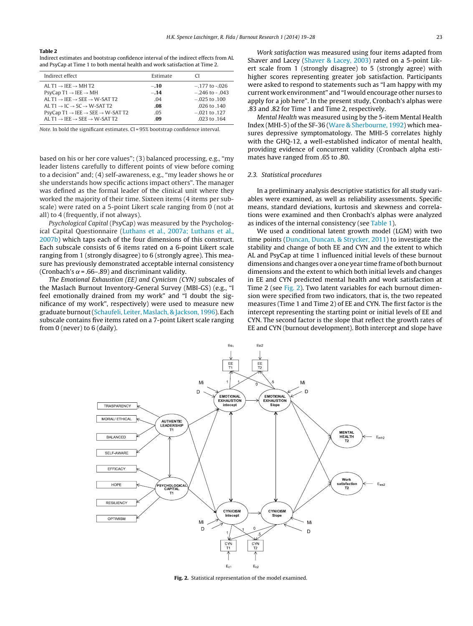#### <span id="page-4-0"></span>**Table 2**

Indirect estimates and bootstrap confidence interval of the indirect effects from AL and PsyCap at Time 1 to both mental health and work satisfaction at Time 2.

| Indirect effect                                                                                                                                                                                                                                                                                              | Estimate                              | CL                                                                                                 |
|--------------------------------------------------------------------------------------------------------------------------------------------------------------------------------------------------------------------------------------------------------------------------------------------------------------|---------------------------------------|----------------------------------------------------------------------------------------------------|
| AL T1 $\rightarrow$ IEE $\rightarrow$ MH T2<br>$PsvCap T1 \rightarrow IEE \rightarrow MH$<br>AL T1 $\rightarrow$ IEE $\rightarrow$ SEE $\rightarrow$ W-SAT T2<br>AL T1 $\rightarrow$ IC $\rightarrow$ SC $\rightarrow$ W-SAT T2<br>$Psych$ Cap T1 $\rightarrow$ IEE $\rightarrow$ SEE $\rightarrow$ W-SAT T2 | $-.10$<br>$-.14$<br>.04<br>.08<br>.05 | $-177$ to $-026$<br>$-.246$ to $-.043$<br>$-.025$ to $.100$<br>$.026$ to $.140$<br>$-.021$ to .127 |
| AL T1 $\rightarrow$ IEE $\rightarrow$ SEE $\rightarrow$ W-SAT T2                                                                                                                                                                                                                                             | -09                                   | $.023$ to $.164$                                                                                   |

Note. In bold the significant estimates. CI = 95% bootstrap confidence interval.

based on his or her core values"; (3) balanced processing, e.g., "my leader listens carefully to different points of view before coming to a decision" and; (4) self-awareness, e.g., "my leader shows he or she understands how specific actions impact others". The manager was defined as the formal leader of the clinical unit where they worked the majority of their time. Sixteen items (4 items per subscale) were rated on a 5-point Likert scale ranging from 0 (not at all) to 4 (frequently, if not always).

Psychological Capital (PsyCap) was measured by the Psychological Capital Questionnaire [\(Luthans](#page-8-0) et [al.,](#page-8-0) [2007a;](#page-8-0) [Luthans](#page-8-0) et [al.,](#page-8-0) [2007b\)](#page-8-0) which taps each of the four dimensions of this construct. Each subscale consists of 6 items rated on a 6-point Likert scale ranging from 1 (strongly disagree) to 6 (strongly agree). This measure has previously demonstrated acceptable internal consistency (Cronbach's  $\alpha$  = .66–.89) and discriminant validity.

The Emotional Exhaustion (EE) and Cynicism (CYN) subscales of the Maslach Burnout Inventory-General Survey (MBI-GS) (e.g., "I feel emotionally drained from my work" and "I doubt the significance of my work", respectively) were used to measure new graduate burnout[\(Schaufeli,](#page-8-0) [Leiter,](#page-8-0) [Maslach,](#page-8-0) [&](#page-8-0) [Jackson,](#page-8-0) [1996\).](#page-8-0) Each subscale contains five items rated on a 7-point Likert scale ranging from 0 (never) to 6 (daily).

Work satisfaction was measured using four items adapted from Shaver and Lacey ([Shaver](#page-9-0) [&](#page-9-0) [Lacey,](#page-9-0) [2003\)](#page-9-0) rated on a 5-point Likert scale from 1 (strongly disagree) to 5 (strongly agree) with higher scores representing greater job satisfaction. Participants were asked to respond to statements such as "I am happy with my current work environment" and "I would encourage other nurses to apply for a job here". In the present study, Cronbach's alphas were .83 and .82 for Time 1 and Time 2, respectively.

Mental Health was measured using by the 5-item Mental Health Index (MHI-5) of the SF-36 [\(Ware](#page-9-0) [&](#page-9-0) [Sherbourne,](#page-9-0) [1992\)](#page-9-0) which measures depressive symptomatology. The MHI-5 correlates highly with the GHQ-12, a well-established indicator of mental health, providing evidence of concurrent validity (Cronbach alpha estimates have ranged from .65 to .80.

#### 2.3. Statistical procedures

In a preliminary analysis descriptive statistics for all study variables were examined, as well as reliability assessments. Specific means, standard deviations, kurtosis and skewness and correlations were examined and then Cronbach's alphas were analyzed as indices of the internal consistency (see [Table](#page-3-0) 1).

We used a conditional latent growth model (LGM) with two time points [\(Duncan,](#page-8-0) [Duncan,](#page-8-0) [&](#page-8-0) [Strycker,](#page-8-0) [2011\)](#page-8-0) to investigate the stability and change of both EE and CYN and the extent to which AL and PsyCap at time 1 influenced initial levels of these burnout dimensions and changes over a one year time frame of both burnout dimensions and the extent to which both initial levels and changes in EE and CYN predicted mental health and work satisfaction at Time 2 (see Fig. 2). Two latent variables for each burnout dimension were specified from two indicators, that is, the two repeated measures (Time 1 and Time 2) of EE and CYN. The first factor is the intercept representing the starting point or initial levels of EE and CYN. The second factor is the slope that reflect the growth rates of EE and CYN (burnout development). Both intercept and slope have



**Fig. 2.** Statistical representation of the model examined.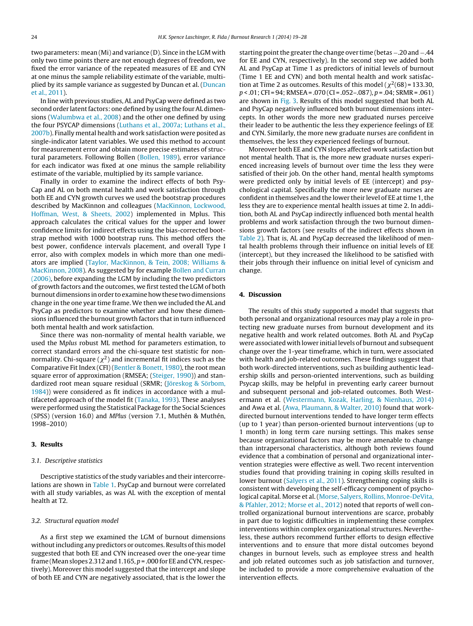two parameters: mean (Mi) and variance (D). Since in the LGM with only two time points there are not enough degrees of freedom, we fixed the error variance of the repeated measures of EE and CYN at one minus the sample reliability estimate of the variable, multiplied by its sample variance as suggested by Duncan et al. [\(Duncan](#page-8-0) et [al.,](#page-8-0) [2011\).](#page-8-0)

In line with previous studies, AL and PsyCap were defined as two second order latent factors: one defined by using the four AL dimensions ([Walumbwa](#page-9-0) et [al.,](#page-9-0) [2008\)](#page-9-0) and the other one defined by using the four PSYCAP dimensions [\(Luthans](#page-8-0) et [al.,](#page-8-0) [2007a;](#page-8-0) [Luthans](#page-8-0) et [al.,](#page-8-0) [2007b\).](#page-8-0) Finally mental health and work satisfaction were posited as single-indicator latent variables. We used this method to account for measurement error and obtain more precise estimates of structural parameters. Following Bollen ([Bollen,](#page-8-0) [1989\),](#page-8-0) error variance for each indicator was fixed at one minus the sample reliability estimate of the variable, multiplied by its sample variance.

Finally in order to examine the indirect effects of both Psy-Cap and AL on both mental health and work satisfaction through both EE and CYN growth curves we used the bootstrap procedures described by MacKinnon and colleagues [\(MacKinnon,](#page-8-0) [Lockwood,](#page-8-0) [Hoffman,](#page-8-0) [West,](#page-8-0) [&](#page-8-0) [Sheets,](#page-8-0) [2002\)](#page-8-0) implemented in Mplus. This approach calculates the critical values for the upper and lower confidence limits for indirect effects using the bias-corrected bootstrap method with 1000 bootstrap runs. This method offers the best power, confidence intervals placement, and overall Type I error, also with complex models in which more than one mediators are implied ([Taylor,](#page-9-0) [MacKinnon,](#page-9-0) [&](#page-9-0) [Tein,](#page-9-0) [2008;](#page-9-0) [Williams](#page-9-0) [&](#page-9-0) [MacKinnon,](#page-9-0) [2008\).](#page-9-0) As suggested by for example [Bollen](#page-8-0) [and](#page-8-0) [Curran](#page-8-0) [\(2006\),](#page-8-0) before expanding the LGM by including the two predictors of growth factors and the outcomes, we first tested the LGM of both burnout dimensions in order to examine how these two dimensions change in the one year time frame. We then we included the AL and PsyCap as predictors to examine whether and how these dimensions influenced the burnout growth factors that in turn influenced both mental health and work satisfaction.

Since there was non-normality of mental health variable, we used the Mplus robust ML method for parameters estimation, to correct standard errors and the chi-square test statistic for nonnormality. Chi-square ( $\chi^2$ ) and incremental fit indices such as the Comparative Fit Index (CFI) [\(Bentler](#page-8-0) [&](#page-8-0) [Bonett,](#page-8-0) [1980\),](#page-8-0) the root mean square error of approximation (RMSEA; ([Steiger,](#page-9-0) [1990\)\)](#page-9-0) and standardized root mean square residual (SRMR; ([Jöreskog](#page-8-0) [&](#page-8-0) [Sörbom,](#page-8-0) [1984\)\)](#page-8-0) were considered as fit indices in accordance with a multifaceted approach of the model fit [\(Tanaka,](#page-9-0) [1993\).](#page-9-0) These analyses were performed using the Statistical Package for the Social Sciences (SPSS) (version 16.0) and MPlus (version 7.1, Muthén & Muthén, 1998–2010)

# **3. Results**

## 3.1. Descriptive statistics

Descriptive statistics of the study variables and their intercorrelations are shown in [Table](#page-3-0) 1. PsyCap and burnout were correlated with all study variables, as was AL with the exception of mental health at T2.

#### 3.2. Structural equation model

As a first step we examined the LGM of burnout dimensions without including any predictors or outcomes. Results of this model suggested that both EE and CYN increased over the one-year time frame (Mean slopes 2.312 and 1.165,  $p$  = .000 for EE and CYN, respectively). Moreover this model suggested that the intercept and slope of both EE and CYN are negatively associated, that is the lower the starting point the greater the change over time (betas -. 20 and -.44 for EE and CYN, respectively). In the second step we added both AL and PsyCap at Time 1 as predictors of initial levels of burnout (Time 1 EE and CYN) and both mental health and work satisfaction at Time 2 as outcomes. Results of this model ( $\chi^2$ (68) = 133.30,  $p < .01$ ; CFI = 94; RMSEA = .070 (CI = .052-.087),  $p = .04$ ; SRMR = .061) are shown in [Fig.](#page-6-0) 3. Results of this model suggested that both AL and PsyCap negatively influenced both burnout dimensions intercepts. In other words the more new graduated nurses perceive their leader to be authentic the less they experience feelings of EE and CYN. Similarly, the more new graduate nurses are confident in themselves, the less they experienced feelings of burnout.

Moreover both EE and CYN slopes affected work satisfaction but not mental health. That is, the more new graduate nurses experienced increasing levels of burnout over time the less they were satisfied of their job. On the other hand, mental health symptoms were predicted only by initial levels of EE (intercept) and psychological capital. Specifically the more new graduate nurses are confident in themselves and the lower their level of EE at time 1, the less they are to experience mental health issues at time 2. In addition, both AL and PsyCap indirectly influenced both mental health problems and work satisfaction through the two burnout dimensions growth factors (see results of the indirect effects shown in [Table](#page-4-0) 2). That is, AL and PsyCap decreased the likelihood of mental health problems through their influence on initial levels of EE (intercept), but they increased the likelihood to be satisfied with their jobs through their influence on initial level of cynicism and change.

## **4. Discussion**

The results of this study supported a model that suggests that both personal and organizational resources may play a role in protecting new graduate nurses from burnout development and its negative health and work related outcomes. Both AL and PsyCap were associated with lower initial levels of burnout and subsequent change over the 1-year timeframe, which in turn, were associated with health and job-related outcomes. These findings suggest that both work-directed interventions, such as building authentic leadership skills and person-oriented interventions, such as building Psycap skills, may be helpful in preventing early career burnout and subsequent personal and job-related outcomes. Both Westermann et al. ([Westermann,](#page-9-0) [Kozak,](#page-9-0) [Harling,](#page-9-0) [&](#page-9-0) [Nienhaus,](#page-9-0) [2014\)](#page-9-0) and Awa et al. ([Awa,](#page-7-0) [Plaumann,](#page-7-0) [&](#page-7-0) [Walter,](#page-7-0) [2010\)](#page-7-0) found that workdirected burnout interventions tended to have longer term effects (up to 1 year) than person-oriented burnout interventions (up to 1 month) in long term care nursing settings. This makes sense because organizational factors may be more amenable to change than intrapersonal characteristics, although both reviews found evidence that a combination of personal and organizational intervention strategies were effective as well. Two recent intervention studies found that providing training in coping skills resulted in lower burnout [\(Salyers](#page-8-0) et [al.,](#page-8-0) [2011\).](#page-8-0) Strengthening coping skills is consistent with developing the self-efficacy component of psychological capital. Morse et al.([Morse,](#page-8-0) [Salyers,](#page-8-0) [Rollins,](#page-8-0) [Monroe-DeVita,](#page-8-0) [&](#page-8-0) [Pfahler,](#page-8-0) [2012;](#page-8-0) [Morse](#page-8-0) et [al.,](#page-8-0) [2012\)](#page-8-0) noted that reports of well controlled organizational burnout interventions are scarce, probably in part due to logistic difficulties in implementing these complex interventions within complex organizational structures. Nevertheless, these authors recommend further efforts to design effective interventions and to ensure that more distal outcomes beyond changes in burnout levels, such as employee stress and health and job related outcomes such as job satisfaction and turnover, be included to provide a more comprehensive evaluation of the intervention effects.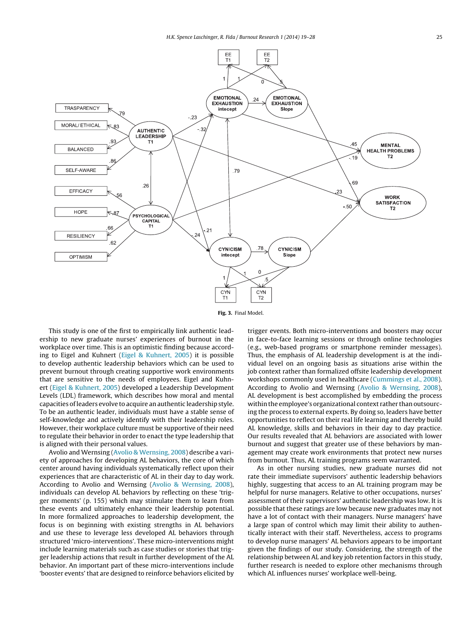<span id="page-6-0"></span>

**Fig. 3.** Final Model.

This study is one of the first to empirically link authentic leadership to new graduate nurses' experiences of burnout in the workplace over time. This is an optimistic finding because according to Eigel and Kuhnert ([Eigel](#page-8-0) [&](#page-8-0) [Kuhnert,](#page-8-0) [2005\)](#page-8-0) it is possible to develop authentic leadership behaviors which can be used to prevent burnout through creating supportive work environments that are sensitive to the needs of employees. Eigel and Kuhnert [\(Eigel](#page-8-0) [&](#page-8-0) [Kuhnert,](#page-8-0) [2005\)](#page-8-0) developed a Leadership Development Levels (LDL) framework, which describes how moral and mental capacities ofleaders evolve to acquire an authentic leadership style. To be an authentic leader, individuals must have a stable sense of self-knowledge and actively identify with their leadership roles. However, their workplace culture must be supportive of their need to regulate their behavior in order to enact the type leadership that is aligned with their personal values.

Avolio and Wernsing [\(Avolio](#page-7-0) [&](#page-7-0) [Wernsing,](#page-7-0) [2008\)](#page-7-0) describe a variety of approaches for developing AL behaviors, the core of which center around having individuals systematically reflect upon their experiences that are characteristic of AL in their day to day work. According to Avolio and Wernsing ([Avolio](#page-7-0) [&](#page-7-0) [Wernsing,](#page-7-0) [2008\),](#page-7-0) individuals can develop AL behaviors by reflecting on these 'trigger moments' (p. 155) which may stimulate them to learn from these events and ultimately enhance their leadership potential. In more formalized approaches to leadership development, the focus is on beginning with existing strengths in AL behaviors and use these to leverage less developed AL behaviors through structured 'micro-interventions'. These micro-interventions might include learning materials such as case studies or stories that trigger leadership actions that result in further development of the AL behavior. An important part of these micro-interventions include 'booster events' that are designed to reinforce behaviors elicited by trigger events. Both micro-interventions and boosters may occur in face-to-face learning sessions or through online technologies (e.g., web-based programs or smartphone reminder messages). Thus, the emphasis of AL leadership development is at the individual level on an ongoing basis as situations arise within the job context rather than formalized offsite leadership development workshops commonly used in healthcare [\(Cummings](#page-8-0) et [al.,](#page-8-0) [2008\).](#page-8-0) According to Avolio and Wernsing ([Avolio](#page-7-0) [&](#page-7-0) [Wernsing,](#page-7-0) [2008\),](#page-7-0) AL development is best accomplished by embedding the process within the employee's organizational context rather than outsourcing the process to external experts. By doing so, leaders have better opportunities to reflect on their real life learning and thereby build AL knowledge, skills and behaviors in their day to day practice. Our results revealed that AL behaviors are associated with lower burnout and suggest that greater use of these behaviors by management may create work environments that protect new nurses from burnout. Thus, AL training programs seem warranted.

As in other nursing studies, new graduate nurses did not rate their immediate supervisors' authentic leadership behaviors highly, suggesting that access to an AL training program may be helpful for nurse managers. Relative to other occupations, nurses' assessment of their supervisors' authentic leadership was low. It is possible that these ratings are low because new graduates may not have a lot of contact with their managers. Nurse managers' have a large span of control which may limit their ability to authentically interact with their staff. Nevertheless, access to programs to develop nurse managers' AL behaviors appears to be important given the findings of our study. Considering, the strength of the relationship between AL and key job retention factors in this study, further research is needed to explore other mechanisms through which AL influences nurses' workplace well-being.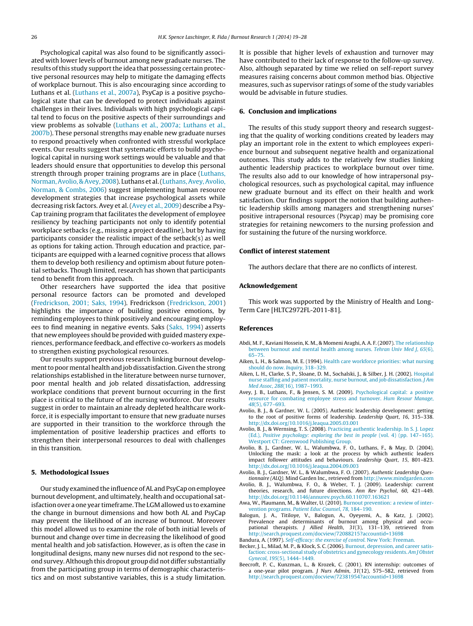<span id="page-7-0"></span>Psychological capital was also found to be significantly associated with lower levels of burnout among new graduate nurses. The results of this study support the idea that possessing certain protective personal resources may help to mitigate the damaging effects of workplace burnout. This is also encouraging since according to Luthans et al. ([Luthans](#page-8-0) et [al.,](#page-8-0) [2007a\),](#page-8-0) PsyCap is a positive psychological state that can be developed to protect individuals against challenges in their lives. Individuals with high psychological capital tend to focus on the positive aspects of their surroundings and view problems as solvable [\(Luthans](#page-8-0) et [al.,](#page-8-0) [2007a;](#page-8-0) [Luthans](#page-8-0) et [al.,](#page-8-0) [2007b\).](#page-8-0) These personal strengths may enable new graduate nurses to respond proactively when confronted with stressful workplace events. Our results suggest that systematic efforts to build psychological capital in nursing work settings would be valuable and that leaders should ensure that opportunities to develop this personal strength through proper training programs are in place [\(Luthans,](#page-8-0) [Norman,Avolio,](#page-8-0) [&](#page-8-0) [Avey,](#page-8-0) [2008\).](#page-8-0) Luthans et al.([Luthans,Avey,Avolio,](#page-8-0) [Norman,](#page-8-0) [&](#page-8-0) [Combs,](#page-8-0) [2006\)](#page-8-0) suggest implementing human resource development strategies that increase psychological assets while decreasing risk factors. Avey et al. (Avey et al., 2009) describe a Psy-Cap training program that facilitates the development of employee resiliency by teaching participants not only to identify potential workplace setbacks (e.g., missing a project deadline), but by having participants consider the realistic impact of the setback(s) as well as options for taking action. Through education and practice, participants are equipped with a learned cognitive process that allows them to develop both resiliency and optimism about future potential setbacks. Though limited, research has shown that participants tend to benefit from this approach.

Other researchers have supported the idea that positive personal resource factors can be promoted and developed ([Fredrickson,](#page-8-0) [2001;](#page-8-0) [Saks,](#page-8-0) [1994\).](#page-8-0) Fredrickson [\(Fredrickson,](#page-8-0) [2001\)](#page-8-0) highlights the importance of building positive emotions, by reminding employees to think positively and encouraging employees to find meaning in negative events. Saks [\(Saks,](#page-8-0) [1994\)](#page-8-0) asserts that new employees should be provided with guided mastery experiences, performance feedback, and effective co-workers as models to strengthen existing psychological resources.

Our results support previous research linking burnout development to poor mental health and job dissatisfaction. Given the strong relationships established in the literature between nurse turnover, poor mental health and job related dissatisfaction, addressing workplace conditions that prevent burnout occurring in the first place is critical to the future of the nursing workforce. Our results suggest in order to maintain an already depleted healthcare workforce, it is especially important to ensure that new graduate nurses are supported in their transition to the workforce through the implementation of positive leadership practices and efforts to strengthen their interpersonal resources to deal with challenges in this transition.

### **5. Methodological Issues**

Our study examined the influence ofAL and PsyCap on employee burnout development, and ultimately, health and occupational satisfaction over a one year timeframe. The LGM allowed us to examine the change in burnout dimensions and how both AL and PsyCap may prevent the likelihood of an increase of burnout. Moreover this model allowed us to examine the role of both initial levels of burnout and change over time in decreasing the likelihood of good mental health and job satisfaction. However, as is often the case in longitudinal designs, many new nurses did not respond to the second survey.Although this dropout group did not differ substantially from the participating group in terms of demographic characteristics and on most substantive variables, this is a study limitation. It is possible that higher levels of exhaustion and turnover may have contributed to their lack of response to the follow-up survey. Also, although separated by time we relied on self-report survey measures raising concerns about common method bias. Objective measures, such as supervisor ratings of some of the study variables would be advisable in future studies.

### **6. Conclusion and implications**

The results of this study support theory and research suggesting that the quality of working conditions created by leaders may play an important role in the extent to which employees experience burnout and subsequent negative health and organizational outcomes. This study adds to the relatively few studies linking authentic leadership practices to workplace burnout over time. The results also add to our knowledge of how intrapersonal psychological resources, such as psychological capital, may influence new graduate burnout and its effect on their health and work satisfaction. Our findings support the notion that building authentic leadership skills among managers and strengthening nurses' positive intrapersonal resources (Psycap) may be promising core strategies for retaining newcomers to the nursing profession and for sustaining the future of the nursing workforce.

#### **Conflict of interest statement**

The authors declare that there are no conflicts of interest.

#### **Acknowledgement**

This work was supported by the Ministry of Health and Long-Term Care [HLTC2972FL-2011-81].

#### **References**

- Abdi, M. F., Kaviani Hossein, K. M., & Momeni Araghi, A. A. F. (2007). [The](http://refhub.elsevier.com/S2213-0586(14)00005-9/sbref0310) [relationship](http://refhub.elsevier.com/S2213-0586(14)00005-9/sbref0310) [between](http://refhub.elsevier.com/S2213-0586(14)00005-9/sbref0310) [burnout](http://refhub.elsevier.com/S2213-0586(14)00005-9/sbref0310) [and](http://refhub.elsevier.com/S2213-0586(14)00005-9/sbref0310) [mental](http://refhub.elsevier.com/S2213-0586(14)00005-9/sbref0310) [health](http://refhub.elsevier.com/S2213-0586(14)00005-9/sbref0310) [among](http://refhub.elsevier.com/S2213-0586(14)00005-9/sbref0310) [nurses.](http://refhub.elsevier.com/S2213-0586(14)00005-9/sbref0310) [Tehran](http://refhub.elsevier.com/S2213-0586(14)00005-9/sbref0310) [Univ](http://refhub.elsevier.com/S2213-0586(14)00005-9/sbref0310) [Med](http://refhub.elsevier.com/S2213-0586(14)00005-9/sbref0310) [J](http://refhub.elsevier.com/S2213-0586(14)00005-9/sbref0310)[,](http://refhub.elsevier.com/S2213-0586(14)00005-9/sbref0310) [65](http://refhub.elsevier.com/S2213-0586(14)00005-9/sbref0310)[\(6\),](http://refhub.elsevier.com/S2213-0586(14)00005-9/sbref0310) [65–75.](http://refhub.elsevier.com/S2213-0586(14)00005-9/sbref0310)
- Aiken, L. H., & Salmon, M. E. (1994). [Health](http://refhub.elsevier.com/S2213-0586(14)00005-9/sbref0085) [care](http://refhub.elsevier.com/S2213-0586(14)00005-9/sbref0085) [workforce](http://refhub.elsevier.com/S2213-0586(14)00005-9/sbref0085) [priorities:](http://refhub.elsevier.com/S2213-0586(14)00005-9/sbref0085) [what](http://refhub.elsevier.com/S2213-0586(14)00005-9/sbref0085) [nursing](http://refhub.elsevier.com/S2213-0586(14)00005-9/sbref0085) [should](http://refhub.elsevier.com/S2213-0586(14)00005-9/sbref0085) [do](http://refhub.elsevier.com/S2213-0586(14)00005-9/sbref0085) [now.](http://refhub.elsevier.com/S2213-0586(14)00005-9/sbref0085) [Inquiry](http://refhub.elsevier.com/S2213-0586(14)00005-9/sbref0085)[,](http://refhub.elsevier.com/S2213-0586(14)00005-9/sbref0085) [318–329.](http://refhub.elsevier.com/S2213-0586(14)00005-9/sbref0085)
- Aiken, L. H., Clarke, S. P., Sloane, D. M., Sochalski, J., & Silber, J. H. (2002). [Hospital](http://refhub.elsevier.com/S2213-0586(14)00005-9/sbref0095) [nurse](http://refhub.elsevier.com/S2213-0586(14)00005-9/sbref0095) [staffing](http://refhub.elsevier.com/S2213-0586(14)00005-9/sbref0095) [and](http://refhub.elsevier.com/S2213-0586(14)00005-9/sbref0095) [patient](http://refhub.elsevier.com/S2213-0586(14)00005-9/sbref0095) [mortality,](http://refhub.elsevier.com/S2213-0586(14)00005-9/sbref0095) nurse [burnout,](http://refhub.elsevier.com/S2213-0586(14)00005-9/sbref0095) and [job](http://refhub.elsevier.com/S2213-0586(14)00005-9/sbref0095) [dissatisfaction.](http://refhub.elsevier.com/S2213-0586(14)00005-9/sbref0095) [J](http://refhub.elsevier.com/S2213-0586(14)00005-9/sbref0095) [Am](http://refhub.elsevier.com/S2213-0586(14)00005-9/sbref0095) [Med](http://refhub.elsevier.com/S2213-0586(14)00005-9/sbref0095) [Assoc](http://refhub.elsevier.com/S2213-0586(14)00005-9/sbref0095)[,](http://refhub.elsevier.com/S2213-0586(14)00005-9/sbref0095) [288](http://refhub.elsevier.com/S2213-0586(14)00005-9/sbref0095)[\(16\),](http://refhub.elsevier.com/S2213-0586(14)00005-9/sbref0095) [1987–1993.](http://refhub.elsevier.com/S2213-0586(14)00005-9/sbref0095)
- Avey, J. B., Luthans, F., & Jensen, S. M. (2009). [Psychological](http://refhub.elsevier.com/S2213-0586(14)00005-9/sbref0295) [capital:](http://refhub.elsevier.com/S2213-0586(14)00005-9/sbref0295) [a](http://refhub.elsevier.com/S2213-0586(14)00005-9/sbref0295) [positive](http://refhub.elsevier.com/S2213-0586(14)00005-9/sbref0295) [resource](http://refhub.elsevier.com/S2213-0586(14)00005-9/sbref0295) [for](http://refhub.elsevier.com/S2213-0586(14)00005-9/sbref0295) [combating](http://refhub.elsevier.com/S2213-0586(14)00005-9/sbref0295) [employee](http://refhub.elsevier.com/S2213-0586(14)00005-9/sbref0295) [stress](http://refhub.elsevier.com/S2213-0586(14)00005-9/sbref0295) [and](http://refhub.elsevier.com/S2213-0586(14)00005-9/sbref0295) [turnover.](http://refhub.elsevier.com/S2213-0586(14)00005-9/sbref0295) [Hum](http://refhub.elsevier.com/S2213-0586(14)00005-9/sbref0295) [Resour](http://refhub.elsevier.com/S2213-0586(14)00005-9/sbref0295) [Manage](http://refhub.elsevier.com/S2213-0586(14)00005-9/sbref0295)[,](http://refhub.elsevier.com/S2213-0586(14)00005-9/sbref0295) [48](http://refhub.elsevier.com/S2213-0586(14)00005-9/sbref0295)[\(5\),](http://refhub.elsevier.com/S2213-0586(14)00005-9/sbref0295) [677–693.](http://refhub.elsevier.com/S2213-0586(14)00005-9/sbref0295)
- Avolio, B. J., & Gardner, W. L. (2005). Authentic leadership development: getting to the root of positive forms of leadership. Leadership Quart, 16, 315–338. [http://dx.doi.org/10.1016/j.leaqua.2005.03.001](dx.doi.org/10.1016/j.leaqua.2005.03.001)
- Avolio, B. J., & Wernsing, T. S. (2008). [Practicing](http://refhub.elsevier.com/S2213-0586(14)00005-9/sbref0455) [authentic](http://refhub.elsevier.com/S2213-0586(14)00005-9/sbref0455) [leadership.](http://refhub.elsevier.com/S2213-0586(14)00005-9/sbref0455) [In](http://refhub.elsevier.com/S2213-0586(14)00005-9/sbref0455) [S.](http://refhub.elsevier.com/S2213-0586(14)00005-9/sbref0455) [J.](http://refhub.elsevier.com/S2213-0586(14)00005-9/sbref0455) [Lopez](http://refhub.elsevier.com/S2213-0586(14)00005-9/sbref0455) [\(Ed.\),](http://refhub.elsevier.com/S2213-0586(14)00005-9/sbref0455) [Positive](http://refhub.elsevier.com/S2213-0586(14)00005-9/sbref0455) [psychology:](http://refhub.elsevier.com/S2213-0586(14)00005-9/sbref0455) [exploring](http://refhub.elsevier.com/S2213-0586(14)00005-9/sbref0455) [the](http://refhub.elsevier.com/S2213-0586(14)00005-9/sbref0455) [best](http://refhub.elsevier.com/S2213-0586(14)00005-9/sbref0455) [in](http://refhub.elsevier.com/S2213-0586(14)00005-9/sbref0455) [people](http://refhub.elsevier.com/S2213-0586(14)00005-9/sbref0455) [\(vol.](http://refhub.elsevier.com/S2213-0586(14)00005-9/sbref0455) [4\)](http://refhub.elsevier.com/S2213-0586(14)00005-9/sbref0455) [\(pp.](http://refhub.elsevier.com/S2213-0586(14)00005-9/sbref0455) [147](http://refhub.elsevier.com/S2213-0586(14)00005-9/sbref0455)–[165\).](http://refhub.elsevier.com/S2213-0586(14)00005-9/sbref0455) [Westport](http://refhub.elsevier.com/S2213-0586(14)00005-9/sbref0455) [CT:](http://refhub.elsevier.com/S2213-0586(14)00005-9/sbref0455) [Greenwood](http://refhub.elsevier.com/S2213-0586(14)00005-9/sbref0455) [Publishing](http://refhub.elsevier.com/S2213-0586(14)00005-9/sbref0455) [Group.](http://refhub.elsevier.com/S2213-0586(14)00005-9/sbref0455)
- Avolio, B. J., Gardner, W. L., Walumbwa, F. O., Luthans, F., & May, D. (2004). Unlocking the mask: a look at the process by which authentic leaders impact follower attitudes and behaviours. Leadership Quart, 15, 801–823. [http://dx.doi.org/10.1016/j.leaqua.2004.09.003](dx.doi.org/10.1016/j.leaqua.2004.09.003)
- Avolio, B. J., Gardner, W. L., & Walumbwa, F. O. (2007). Authentic Leadership Questionnaire (ALQ). Mind Garden Inc., retrieved from [http://www.mindgarden.com](http://www.mindgarden.com/)
- Avolio, B. J., Walumbwa, F. O., & Weber, T. J. (2009). Leadership: current theories, research, and future directions. Ann Rev Psychol, 60, 421–449. [http://dx.doi.org/10.1146/annurev.psych.60.110707.163621](dx.doi.org/10.1146/annurev.psych.60.110707.163621)
- Awa, W., Plaumann, M., & Walter, U. (2010). [Burnout](http://refhub.elsevier.com/S2213-0586(14)00005-9/sbref0435) [prevention:](http://refhub.elsevier.com/S2213-0586(14)00005-9/sbref0435) [a](http://refhub.elsevier.com/S2213-0586(14)00005-9/sbref0435) [review](http://refhub.elsevier.com/S2213-0586(14)00005-9/sbref0435) [of](http://refhub.elsevier.com/S2213-0586(14)00005-9/sbref0435) [inter](http://refhub.elsevier.com/S2213-0586(14)00005-9/sbref0435)[vention](http://refhub.elsevier.com/S2213-0586(14)00005-9/sbref0435) [programs.](http://refhub.elsevier.com/S2213-0586(14)00005-9/sbref0435) [Patient](http://refhub.elsevier.com/S2213-0586(14)00005-9/sbref0435) [Educ](http://refhub.elsevier.com/S2213-0586(14)00005-9/sbref0435) [Counsel](http://refhub.elsevier.com/S2213-0586(14)00005-9/sbref0435)[,](http://refhub.elsevier.com/S2213-0586(14)00005-9/sbref0435) [78](http://refhub.elsevier.com/S2213-0586(14)00005-9/sbref0435), [184–190.](http://refhub.elsevier.com/S2213-0586(14)00005-9/sbref0435)
- Balogun, J. A., Titiloye, V., Balogun, A., Oyeyemi, A., & Katz, J. (2002). Prevalence and determinants of burnout among physical and occupational therapists. J Allied Health, 31(3), 131-139, retrieved from <http://search.proquest.com/docview/72088215?accountid=13698>
- Bandura, A. (1997). [Self-efficacy:](http://refhub.elsevier.com/S2213-0586(14)00005-9/sbref0280) [the](http://refhub.elsevier.com/S2213-0586(14)00005-9/sbref0280) [exercise](http://refhub.elsevier.com/S2213-0586(14)00005-9/sbref0280) [of](http://refhub.elsevier.com/S2213-0586(14)00005-9/sbref0280) [control](http://refhub.elsevier.com/S2213-0586(14)00005-9/sbref0280)[.](http://refhub.elsevier.com/S2213-0586(14)00005-9/sbref0280) [New](http://refhub.elsevier.com/S2213-0586(14)00005-9/sbref0280) [York:](http://refhub.elsevier.com/S2213-0586(14)00005-9/sbref0280) [Freeman.](http://refhub.elsevier.com/S2213-0586(14)00005-9/sbref0280)
- Becker, J. L., Milad, M. P., & Klock, S. C. (2006). [Burnout,](http://refhub.elsevier.com/S2213-0586(14)00005-9/sbref0135) [depression,](http://refhub.elsevier.com/S2213-0586(14)00005-9/sbref0135) [and](http://refhub.elsevier.com/S2213-0586(14)00005-9/sbref0135) [career](http://refhub.elsevier.com/S2213-0586(14)00005-9/sbref0135) [satis](http://refhub.elsevier.com/S2213-0586(14)00005-9/sbref0135)[faction:](http://refhub.elsevier.com/S2213-0586(14)00005-9/sbref0135) [cross-sectional](http://refhub.elsevier.com/S2213-0586(14)00005-9/sbref0135) [study](http://refhub.elsevier.com/S2213-0586(14)00005-9/sbref0135) [of](http://refhub.elsevier.com/S2213-0586(14)00005-9/sbref0135) [obstetrics](http://refhub.elsevier.com/S2213-0586(14)00005-9/sbref0135) [and](http://refhub.elsevier.com/S2213-0586(14)00005-9/sbref0135) [gynecology](http://refhub.elsevier.com/S2213-0586(14)00005-9/sbref0135) [residents.](http://refhub.elsevier.com/S2213-0586(14)00005-9/sbref0135) [Am](http://refhub.elsevier.com/S2213-0586(14)00005-9/sbref0135) [J](http://refhub.elsevier.com/S2213-0586(14)00005-9/sbref0135) [Obstet](http://refhub.elsevier.com/S2213-0586(14)00005-9/sbref0135) [Gynecol](http://refhub.elsevier.com/S2213-0586(14)00005-9/sbref0135)[,](http://refhub.elsevier.com/S2213-0586(14)00005-9/sbref0135) [195](http://refhub.elsevier.com/S2213-0586(14)00005-9/sbref0135)[\(5\),](http://refhub.elsevier.com/S2213-0586(14)00005-9/sbref0135) [1444–1449.](http://refhub.elsevier.com/S2213-0586(14)00005-9/sbref0135)
- Beecroft, P. C., Kunzman, L., & Krozek, C. (2001). RN internship: outcomes of a one-year pilot program. J Nurs Admin, 31(12), 575–582, retrieved from <http://search.proquest.com/docview/72381954?accountid=13698>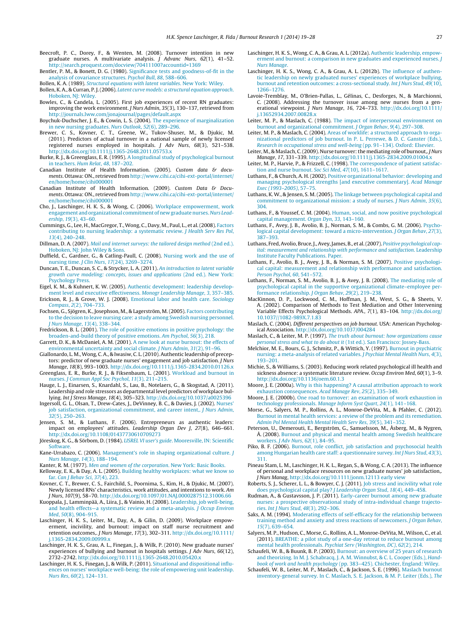- <span id="page-8-0"></span>Beecroft, P. C., Dorey, F., & Wenten, M. (2008). Turnover intention in new graduate nurses. A multivariate analysis. J Advanc Nurs, 62(1), 41–52. <http://search.proquest.com/docview/70411100?accountid=1369>
- Bentler, P. M., & Bonett, D. G. (1980). [Significance](http://refhub.elsevier.com/S2213-0586(14)00005-9/sbref0410) [tests](http://refhub.elsevier.com/S2213-0586(14)00005-9/sbref0410) [and](http://refhub.elsevier.com/S2213-0586(14)00005-9/sbref0410) [goodness-of-fit](http://refhub.elsevier.com/S2213-0586(14)00005-9/sbref0410) [in](http://refhub.elsevier.com/S2213-0586(14)00005-9/sbref0410) [the](http://refhub.elsevier.com/S2213-0586(14)00005-9/sbref0410) [analysis](http://refhub.elsevier.com/S2213-0586(14)00005-9/sbref0410) [of](http://refhub.elsevier.com/S2213-0586(14)00005-9/sbref0410) [covariance](http://refhub.elsevier.com/S2213-0586(14)00005-9/sbref0410) [structures.](http://refhub.elsevier.com/S2213-0586(14)00005-9/sbref0410) [Psychol](http://refhub.elsevier.com/S2213-0586(14)00005-9/sbref0410) [Bull](http://refhub.elsevier.com/S2213-0586(14)00005-9/sbref0410)[,](http://refhub.elsevier.com/S2213-0586(14)00005-9/sbref0410) [88](http://refhub.elsevier.com/S2213-0586(14)00005-9/sbref0410), [588](http://refhub.elsevier.com/S2213-0586(14)00005-9/sbref0410)–[606.](http://refhub.elsevier.com/S2213-0586(14)00005-9/sbref0410)
- Bollen, K. A. (1989). [Structural](http://refhub.elsevier.com/S2213-0586(14)00005-9/sbref0400) [equations](http://refhub.elsevier.com/S2213-0586(14)00005-9/sbref0400) [with](http://refhub.elsevier.com/S2213-0586(14)00005-9/sbref0400) [latent](http://refhub.elsevier.com/S2213-0586(14)00005-9/sbref0400) [variables](http://refhub.elsevier.com/S2213-0586(14)00005-9/sbref0400)[.](http://refhub.elsevier.com/S2213-0586(14)00005-9/sbref0400) [New](http://refhub.elsevier.com/S2213-0586(14)00005-9/sbref0400) [York:](http://refhub.elsevier.com/S2213-0586(14)00005-9/sbref0400) [Wiley.](http://refhub.elsevier.com/S2213-0586(14)00005-9/sbref0400)
- Bollen, K. A., & Curran, P. J.(2006). [Latent](http://refhub.elsevier.com/S2213-0586(14)00005-9/sbref0090) [curve](http://refhub.elsevier.com/S2213-0586(14)00005-9/sbref0090) [models:](http://refhub.elsevier.com/S2213-0586(14)00005-9/sbref0090) [a](http://refhub.elsevier.com/S2213-0586(14)00005-9/sbref0090) [structural](http://refhub.elsevier.com/S2213-0586(14)00005-9/sbref0090) [equation](http://refhub.elsevier.com/S2213-0586(14)00005-9/sbref0090) [approach](http://refhub.elsevier.com/S2213-0586(14)00005-9/sbref0090)[.](http://refhub.elsevier.com/S2213-0586(14)00005-9/sbref0090) [Hoboken,](http://refhub.elsevier.com/S2213-0586(14)00005-9/sbref0090) NI: Wiley
- Bowles, C., & Candela, L. (2005). First job experiences of recent RN graduates: improving the work environment. J Nurs Admin, 35(3), 130–137, retrieved from <http://journals.lww.com/jonajournal/pages/default.aspx>
- Boychuk-Duchscher, J. E., & Cowin, L. S. (2004). [The](http://refhub.elsevier.com/S2213-0586(14)00005-9/sbref0320) [experience](http://refhub.elsevier.com/S2213-0586(14)00005-9/sbref0320) [of](http://refhub.elsevier.com/S2213-0586(14)00005-9/sbref0320) [marginalization](http://refhub.elsevier.com/S2213-0586(14)00005-9/sbref0320) [in](http://refhub.elsevier.com/S2213-0586(14)00005-9/sbref0320) [new](http://refhub.elsevier.com/S2213-0586(14)00005-9/sbref0320) [nursing](http://refhub.elsevier.com/S2213-0586(14)00005-9/sbref0320) [graduates.](http://refhub.elsevier.com/S2213-0586(14)00005-9/sbref0320) [Nurs](http://refhub.elsevier.com/S2213-0586(14)00005-9/sbref0320) [Outlook](http://refhub.elsevier.com/S2213-0586(14)00005-9/sbref0320)[,](http://refhub.elsevier.com/S2213-0586(14)00005-9/sbref0320) [52](http://refhub.elsevier.com/S2213-0586(14)00005-9/sbref0320)[\(6\),](http://refhub.elsevier.com/S2213-0586(14)00005-9/sbref0320) [289–296.](http://refhub.elsevier.com/S2213-0586(14)00005-9/sbref0320)
- Brewer, C. S., Kovner, C. T., Greene, W., Tukov-Shuser, M., & Djukic, M. (2011). Predictors of actual turnover in a national sample of newly licensed registered nurses employed in hospitals. J Adv Nurs, 68(3), 521–538. [http://dx.doi.org/10.1111/j.1365-2648.2011.05753.x](dx.doi.org/10.1111/j.1365-2648.2011.05753.x)
- Burke, R. J., & Greenglass, E. R. (1995). [A](http://refhub.elsevier.com/S2213-0586(14)00005-9/sbref0335) [longitudinal](http://refhub.elsevier.com/S2213-0586(14)00005-9/sbref0335) [study](http://refhub.elsevier.com/S2213-0586(14)00005-9/sbref0335) [of](http://refhub.elsevier.com/S2213-0586(14)00005-9/sbref0335) [psychological](http://refhub.elsevier.com/S2213-0586(14)00005-9/sbref0335) [burnout](http://refhub.elsevier.com/S2213-0586(14)00005-9/sbref0335) [in](http://refhub.elsevier.com/S2213-0586(14)00005-9/sbref0335) [teachers.](http://refhub.elsevier.com/S2213-0586(14)00005-9/sbref0335) [Hum](http://refhub.elsevier.com/S2213-0586(14)00005-9/sbref0335) [Relat](http://refhub.elsevier.com/S2213-0586(14)00005-9/sbref0335)[,](http://refhub.elsevier.com/S2213-0586(14)00005-9/sbref0335) [48](http://refhub.elsevier.com/S2213-0586(14)00005-9/sbref0335)[,](http://refhub.elsevier.com/S2213-0586(14)00005-9/sbref0335) [187–202.](http://refhub.elsevier.com/S2213-0586(14)00005-9/sbref0335)
- Canadian Institute of Health Information. (2005). Custom data & documents. Ottawa: ON., retrieved from [http://www.cihi.ca/cihi-ext-portal/internet/](http://www.cihi.ca/cihi-ext-portal/internet/en/home/home/cihi000001) [en/home/home/cihi000001](http://www.cihi.ca/cihi-ext-portal/internet/en/home/home/cihi000001)
- Canadian Institute of Health Information. (2009). Custom Data & Documents. Ottawa: ON., retrieved from [http://www.cihi.ca/cihi-ext-portal/internet/](http://www.cihi.ca/cihi-ext-portal/internet/en/home/home/cihi000001) [en/home/home/cihi000001](http://www.cihi.ca/cihi-ext-portal/internet/en/home/home/cihi000001)
- Cho, J., Laschinger, H. K. S., & Wong, C. (2006). [Workplace](http://refhub.elsevier.com/S2213-0586(14)00005-9/sbref0015) [empowerment,](http://refhub.elsevier.com/S2213-0586(14)00005-9/sbref0015) [work](http://refhub.elsevier.com/S2213-0586(14)00005-9/sbref0015) [engagement](http://refhub.elsevier.com/S2213-0586(14)00005-9/sbref0015) and organizational [commitment](http://refhub.elsevier.com/S2213-0586(14)00005-9/sbref0015) of new graduate nurses. [Nurs](http://refhub.elsevier.com/S2213-0586(14)00005-9/sbref0015) [Lead](http://refhub.elsevier.com/S2213-0586(14)00005-9/sbref0015)[ership](http://refhub.elsevier.com/S2213-0586(14)00005-9/sbref0015)[,](http://refhub.elsevier.com/S2213-0586(14)00005-9/sbref0015) [19](http://refhub.elsevier.com/S2213-0586(14)00005-9/sbref0015)[\(3\),](http://refhub.elsevier.com/S2213-0586(14)00005-9/sbref0015) [43](http://refhub.elsevier.com/S2213-0586(14)00005-9/sbref0015)–[60.](http://refhub.elsevier.com/S2213-0586(14)00005-9/sbref0015)
- Cummings, G., Lee, H., MacGregor, T.,Wong, C., Davy, M., Paul, L., et al.(2008). [Factors](http://refhub.elsevier.com/S2213-0586(14)00005-9/sbref0460) [contributing](http://refhub.elsevier.com/S2213-0586(14)00005-9/sbref0460) [to](http://refhub.elsevier.com/S2213-0586(14)00005-9/sbref0460) [nursing](http://refhub.elsevier.com/S2213-0586(14)00005-9/sbref0460) [leadership:](http://refhub.elsevier.com/S2213-0586(14)00005-9/sbref0460) [a](http://refhub.elsevier.com/S2213-0586(14)00005-9/sbref0460) [systematic](http://refhub.elsevier.com/S2213-0586(14)00005-9/sbref0460) [review.](http://refhub.elsevier.com/S2213-0586(14)00005-9/sbref0460) [J](http://refhub.elsevier.com/S2213-0586(14)00005-9/sbref0460) [Health](http://refhub.elsevier.com/S2213-0586(14)00005-9/sbref0460) [Serv](http://refhub.elsevier.com/S2213-0586(14)00005-9/sbref0460) [Res](http://refhub.elsevier.com/S2213-0586(14)00005-9/sbref0460) [Pol](http://refhub.elsevier.com/S2213-0586(14)00005-9/sbref0460)[,](http://refhub.elsevier.com/S2213-0586(14)00005-9/sbref0460) [13](http://refhub.elsevier.com/S2213-0586(14)00005-9/sbref0460)[\(4\),](http://refhub.elsevier.com/S2213-0586(14)00005-9/sbref0460) [240](http://refhub.elsevier.com/S2213-0586(14)00005-9/sbref0460)–[248.](http://refhub.elsevier.com/S2213-0586(14)00005-9/sbref0460)
- Dillman, D. A. (2007). [Mail](http://refhub.elsevier.com/S2213-0586(14)00005-9/sbref0365) [and](http://refhub.elsevier.com/S2213-0586(14)00005-9/sbref0365) [internet](http://refhub.elsevier.com/S2213-0586(14)00005-9/sbref0365) [surveys:](http://refhub.elsevier.com/S2213-0586(14)00005-9/sbref0365) [the](http://refhub.elsevier.com/S2213-0586(14)00005-9/sbref0365) [tailored](http://refhub.elsevier.com/S2213-0586(14)00005-9/sbref0365) [design](http://refhub.elsevier.com/S2213-0586(14)00005-9/sbref0365) [method](http://refhub.elsevier.com/S2213-0586(14)00005-9/sbref0365) [\(2nd](http://refhub.elsevier.com/S2213-0586(14)00005-9/sbref0365) [ed.\).](http://refhub.elsevier.com/S2213-0586(14)00005-9/sbref0365) [Hoboken,](http://refhub.elsevier.com/S2213-0586(14)00005-9/sbref0365) [NJ:](http://refhub.elsevier.com/S2213-0586(14)00005-9/sbref0365) [John](http://refhub.elsevier.com/S2213-0586(14)00005-9/sbref0365) [Wiley](http://refhub.elsevier.com/S2213-0586(14)00005-9/sbref0365) [&](http://refhub.elsevier.com/S2213-0586(14)00005-9/sbref0365) [Sons.](http://refhub.elsevier.com/S2213-0586(14)00005-9/sbref0365)
- Duffield, C., Gardner, G., & Catling-Paull, C. (2008). [Nursing](http://refhub.elsevier.com/S2213-0586(14)00005-9/sbref0220) [work](http://refhub.elsevier.com/S2213-0586(14)00005-9/sbref0220) [and](http://refhub.elsevier.com/S2213-0586(14)00005-9/sbref0220) [the](http://refhub.elsevier.com/S2213-0586(14)00005-9/sbref0220) [use](http://refhub.elsevier.com/S2213-0586(14)00005-9/sbref0220) [of](http://refhub.elsevier.com/S2213-0586(14)00005-9/sbref0220) [nursing](http://refhub.elsevier.com/S2213-0586(14)00005-9/sbref0220) [time.](http://refhub.elsevier.com/S2213-0586(14)00005-9/sbref0220) [J](http://refhub.elsevier.com/S2213-0586(14)00005-9/sbref0220) [Clin](http://refhub.elsevier.com/S2213-0586(14)00005-9/sbref0220) [Nurs](http://refhub.elsevier.com/S2213-0586(14)00005-9/sbref0220)[,](http://refhub.elsevier.com/S2213-0586(14)00005-9/sbref0220) [17](http://refhub.elsevier.com/S2213-0586(14)00005-9/sbref0220)[\(24\),](http://refhub.elsevier.com/S2213-0586(14)00005-9/sbref0220) [3269](http://refhub.elsevier.com/S2213-0586(14)00005-9/sbref0220)–[3274.](http://refhub.elsevier.com/S2213-0586(14)00005-9/sbref0220)
- Duncan, T. E., Duncan, S. C., & Strycker, L. A. (2011). [An](http://refhub.elsevier.com/S2213-0586(14)00005-9/sbref0395) [introduction](http://refhub.elsevier.com/S2213-0586(14)00005-9/sbref0395) [to](http://refhub.elsevier.com/S2213-0586(14)00005-9/sbref0395) [latent](http://refhub.elsevier.com/S2213-0586(14)00005-9/sbref0395) [variable](http://refhub.elsevier.com/S2213-0586(14)00005-9/sbref0395) [growth](http://refhub.elsevier.com/S2213-0586(14)00005-9/sbref0395) [curve](http://refhub.elsevier.com/S2213-0586(14)00005-9/sbref0395) [modeling:](http://refhub.elsevier.com/S2213-0586(14)00005-9/sbref0395) [concepts,](http://refhub.elsevier.com/S2213-0586(14)00005-9/sbref0395) [issues](http://refhub.elsevier.com/S2213-0586(14)00005-9/sbref0395) [and](http://refhub.elsevier.com/S2213-0586(14)00005-9/sbref0395) [applications](http://refhub.elsevier.com/S2213-0586(14)00005-9/sbref0395) [\(2nd](http://refhub.elsevier.com/S2213-0586(14)00005-9/sbref0395) [ed.\).](http://refhub.elsevier.com/S2213-0586(14)00005-9/sbref0395) [New](http://refhub.elsevier.com/S2213-0586(14)00005-9/sbref0395) [York:](http://refhub.elsevier.com/S2213-0586(14)00005-9/sbref0395) [Psychology](http://refhub.elsevier.com/S2213-0586(14)00005-9/sbref0395) [Press.](http://refhub.elsevier.com/S2213-0586(14)00005-9/sbref0395)
- Eigel, K. M., & Kuhnert, K. W. (2005). [Authentic](http://refhub.elsevier.com/S2213-0586(14)00005-9/sbref0450) [development:](http://refhub.elsevier.com/S2213-0586(14)00005-9/sbref0450) [leadership](http://refhub.elsevier.com/S2213-0586(14)00005-9/sbref0450) [develop](http://refhub.elsevier.com/S2213-0586(14)00005-9/sbref0450)[ment](http://refhub.elsevier.com/S2213-0586(14)00005-9/sbref0450) [level](http://refhub.elsevier.com/S2213-0586(14)00005-9/sbref0450) [and](http://refhub.elsevier.com/S2213-0586(14)00005-9/sbref0450) [executive](http://refhub.elsevier.com/S2213-0586(14)00005-9/sbref0450) [effectiveness.](http://refhub.elsevier.com/S2213-0586(14)00005-9/sbref0450) [Monogr](http://refhub.elsevier.com/S2213-0586(14)00005-9/sbref0450) [Leadership](http://refhub.elsevier.com/S2213-0586(14)00005-9/sbref0450) [Manage](http://refhub.elsevier.com/S2213-0586(14)00005-9/sbref0450)[,](http://refhub.elsevier.com/S2213-0586(14)00005-9/sbref0450) [3](http://refhub.elsevier.com/S2213-0586(14)00005-9/sbref0450)[,](http://refhub.elsevier.com/S2213-0586(14)00005-9/sbref0450) [357–385.](http://refhub.elsevier.com/S2213-0586(14)00005-9/sbref0450) Erickson, R. J., & Grove, W. J. (2008). [Emotional](http://refhub.elsevier.com/S2213-0586(14)00005-9/sbref0330) [labor](http://refhub.elsevier.com/S2213-0586(14)00005-9/sbref0330) [and](http://refhub.elsevier.com/S2213-0586(14)00005-9/sbref0330) [health](http://refhub.elsevier.com/S2213-0586(14)00005-9/sbref0330) [care.](http://refhub.elsevier.com/S2213-0586(14)00005-9/sbref0330) [Sociology](http://refhub.elsevier.com/S2213-0586(14)00005-9/sbref0330)
- [Compass](http://refhub.elsevier.com/S2213-0586(14)00005-9/sbref0330)[,](http://refhub.elsevier.com/S2213-0586(14)00005-9/sbref0330) [2](http://refhub.elsevier.com/S2213-0586(14)00005-9/sbref0330)[\(2\),](http://refhub.elsevier.com/S2213-0586(14)00005-9/sbref0330) [704–733.](http://refhub.elsevier.com/S2213-0586(14)00005-9/sbref0330) Fochsen, G., Sjögren, K., Josephson, M., & Lagerström, M.(2005). [Factors](http://refhub.elsevier.com/S2213-0586(14)00005-9/sbref0115) [contributing](http://refhub.elsevier.com/S2213-0586(14)00005-9/sbref0115) [to](http://refhub.elsevier.com/S2213-0586(14)00005-9/sbref0115) [the](http://refhub.elsevier.com/S2213-0586(14)00005-9/sbref0115) [decision](http://refhub.elsevier.com/S2213-0586(14)00005-9/sbref0115) [to](http://refhub.elsevier.com/S2213-0586(14)00005-9/sbref0115) [leave](http://refhub.elsevier.com/S2213-0586(14)00005-9/sbref0115) [nursing](http://refhub.elsevier.com/S2213-0586(14)00005-9/sbref0115) [care:](http://refhub.elsevier.com/S2213-0586(14)00005-9/sbref0115) [a](http://refhub.elsevier.com/S2213-0586(14)00005-9/sbref0115) [study](http://refhub.elsevier.com/S2213-0586(14)00005-9/sbref0115) [among](http://refhub.elsevier.com/S2213-0586(14)00005-9/sbref0115) [Swedish](http://refhub.elsevier.com/S2213-0586(14)00005-9/sbref0115) [nursing](http://refhub.elsevier.com/S2213-0586(14)00005-9/sbref0115) [personnel.](http://refhub.elsevier.com/S2213-0586(14)00005-9/sbref0115) [J](http://refhub.elsevier.com/S2213-0586(14)00005-9/sbref0115) [Nurs](http://refhub.elsevier.com/S2213-0586(14)00005-9/sbref0115) [Manage](http://refhub.elsevier.com/S2213-0586(14)00005-9/sbref0115)[,](http://refhub.elsevier.com/S2213-0586(14)00005-9/sbref0115) [13](http://refhub.elsevier.com/S2213-0586(14)00005-9/sbref0115)[\(4\),](http://refhub.elsevier.com/S2213-0586(14)00005-9/sbref0115) [338–344.](http://refhub.elsevier.com/S2213-0586(14)00005-9/sbref0115)
- Fredrickson, B. L. (2001). [The](http://refhub.elsevier.com/S2213-0586(14)00005-9/sbref0475) [role](http://refhub.elsevier.com/S2213-0586(14)00005-9/sbref0475) [of](http://refhub.elsevier.com/S2213-0586(14)00005-9/sbref0475) [positive](http://refhub.elsevier.com/S2213-0586(14)00005-9/sbref0475) [emotions](http://refhub.elsevier.com/S2213-0586(14)00005-9/sbref0475) [in](http://refhub.elsevier.com/S2213-0586(14)00005-9/sbref0475) [positive](http://refhub.elsevier.com/S2213-0586(14)00005-9/sbref0475) [psychology:](http://refhub.elsevier.com/S2213-0586(14)00005-9/sbref0475) [the](http://refhub.elsevier.com/S2213-0586(14)00005-9/sbref0475) [broaden-and-build](http://refhub.elsevier.com/S2213-0586(14)00005-9/sbref0475) [theory](http://refhub.elsevier.com/S2213-0586(14)00005-9/sbref0475) [of](http://refhub.elsevier.com/S2213-0586(14)00005-9/sbref0475) [positive](http://refhub.elsevier.com/S2213-0586(14)00005-9/sbref0475) [emotions.](http://refhub.elsevier.com/S2213-0586(14)00005-9/sbref0475) [Am](http://refhub.elsevier.com/S2213-0586(14)00005-9/sbref0475) [Psychol](http://refhub.elsevier.com/S2213-0586(14)00005-9/sbref0475)[,](http://refhub.elsevier.com/S2213-0586(14)00005-9/sbref0475) [56](http://refhub.elsevier.com/S2213-0586(14)00005-9/sbref0475)[\(3\),](http://refhub.elsevier.com/S2213-0586(14)00005-9/sbref0475) [218.](http://refhub.elsevier.com/S2213-0586(14)00005-9/sbref0475)
- Garrett, D. K., & McDaniel, A. M. (2001). [A](http://refhub.elsevier.com/S2213-0586(14)00005-9/sbref1090) [new](http://refhub.elsevier.com/S2213-0586(14)00005-9/sbref1090) [look](http://refhub.elsevier.com/S2213-0586(14)00005-9/sbref1090) [at](http://refhub.elsevier.com/S2213-0586(14)00005-9/sbref1090) [nurse](http://refhub.elsevier.com/S2213-0586(14)00005-9/sbref1090) [burnout:](http://refhub.elsevier.com/S2213-0586(14)00005-9/sbref1090) [the](http://refhub.elsevier.com/S2213-0586(14)00005-9/sbref1090) [effects](http://refhub.elsevier.com/S2213-0586(14)00005-9/sbref1090) [of](http://refhub.elsevier.com/S2213-0586(14)00005-9/sbref1090) [environmental](http://refhub.elsevier.com/S2213-0586(14)00005-9/sbref1090) [uncertainty](http://refhub.elsevier.com/S2213-0586(14)00005-9/sbref1090) [and](http://refhub.elsevier.com/S2213-0586(14)00005-9/sbref1090) [social](http://refhub.elsevier.com/S2213-0586(14)00005-9/sbref1090) [climate.](http://refhub.elsevier.com/S2213-0586(14)00005-9/sbref1090) [J](http://refhub.elsevier.com/S2213-0586(14)00005-9/sbref1090) [Nurs](http://refhub.elsevier.com/S2213-0586(14)00005-9/sbref1090) [Admin](http://refhub.elsevier.com/S2213-0586(14)00005-9/sbref1090)[,](http://refhub.elsevier.com/S2213-0586(14)00005-9/sbref1090) [31](http://refhub.elsevier.com/S2213-0586(14)00005-9/sbref1090)[\(2\),](http://refhub.elsevier.com/S2213-0586(14)00005-9/sbref1090) [91–96.](http://refhub.elsevier.com/S2213-0586(14)00005-9/sbref1090)
- Giallonardo, L. M.,Wong, C. A., & Iwasiw, C. L.(2010). Authentic leadership of preceptors: predictor of new graduate nurses' engagement and job satisfaction. J Nurs
- Manage, 18(8), 993–1003. [http://dx.doi.org/10.1111/j.1365-2834.2010.01126.x](dx.doi.org/10.1111/j.1365-2834.2010.01126.x) Greenglass, E. R., Burke, R. J., & Fiksenbaum, L. (2001). [Workload](http://refhub.elsevier.com/S2213-0586(14)00005-9/sbref0070) [and](http://refhub.elsevier.com/S2213-0586(14)00005-9/sbref0070) [burnout](http://refhub.elsevier.com/S2213-0586(14)00005-9/sbref0070) [in](http://refhub.elsevier.com/S2213-0586(14)00005-9/sbref0070) [nurses.](http://refhub.elsevier.com/S2213-0586(14)00005-9/sbref0070) [J](http://refhub.elsevier.com/S2213-0586(14)00005-9/sbref0070) [Commun](http://refhub.elsevier.com/S2213-0586(14)00005-9/sbref0070) [Appl](http://refhub.elsevier.com/S2213-0586(14)00005-9/sbref0070) [Soc](http://refhub.elsevier.com/S2213-0586(14)00005-9/sbref0070) [Psychol](http://refhub.elsevier.com/S2213-0586(14)00005-9/sbref0070)[,](http://refhub.elsevier.com/S2213-0586(14)00005-9/sbref0070) [11](http://refhub.elsevier.com/S2213-0586(14)00005-9/sbref0070)[\(3\),](http://refhub.elsevier.com/S2213-0586(14)00005-9/sbref0070) [211–215.](http://refhub.elsevier.com/S2213-0586(14)00005-9/sbref0070)
- Hauge, L. J., Einarsen, S., Knardahl, S., Lau, B., Notelaers, G., & Skogstad, A. (2011). Leadership and role stressors as departmental level predictors of workplace bullying. Int J Stress Manage, 18(4), 305–323. [http://dx.doi.org/10.1037/a0025396](dx.doi.org/10.1037/a0025396)
- Ingersoll, G. L., Olsan, T., Drew-Cates, J., DeVinney, B. C., & Davies, J. (2002). [Nurses'](http://refhub.elsevier.com/S2213-0586(14)00005-9/sbref0200) [job](http://refhub.elsevier.com/S2213-0586(14)00005-9/sbref0200) [satisfaction,](http://refhub.elsevier.com/S2213-0586(14)00005-9/sbref0200) [organizational](http://refhub.elsevier.com/S2213-0586(14)00005-9/sbref0200) [commitment,](http://refhub.elsevier.com/S2213-0586(14)00005-9/sbref0200) [and](http://refhub.elsevier.com/S2213-0586(14)00005-9/sbref0200) [career](http://refhub.elsevier.com/S2213-0586(14)00005-9/sbref0200) [intent,.](http://refhub.elsevier.com/S2213-0586(14)00005-9/sbref0200) [J](http://refhub.elsevier.com/S2213-0586(14)00005-9/sbref0200) [Nurs](http://refhub.elsevier.com/S2213-0586(14)00005-9/sbref0200) [Admin](http://refhub.elsevier.com/S2213-0586(14)00005-9/sbref0200)[,](http://refhub.elsevier.com/S2213-0586(14)00005-9/sbref0200) [32](http://refhub.elsevier.com/S2213-0586(14)00005-9/sbref0200)[\(5\),](http://refhub.elsevier.com/S2213-0586(14)00005-9/sbref0200) [250](http://refhub.elsevier.com/S2213-0586(14)00005-9/sbref0200)–[263.](http://refhub.elsevier.com/S2213-0586(14)00005-9/sbref0200)
- Jensen, S. M., & Luthans, F. (2006). Entrepreneurs as authentic leaders: impact on employees' attitudes. Leadership Organ Dev J, 27(8), 646–661. [http://dx.doi.org/10.1108/01437730610709273](dx.doi.org/10.1108/01437730610709273)
- Jöreskog, K. G., & Sörbom, D. (1984). [LISREL](http://refhub.elsevier.com/S2213-0586(14)00005-9/sbref0420) [VI](http://refhub.elsevier.com/S2213-0586(14)00005-9/sbref0420) [user's](http://refhub.elsevier.com/S2213-0586(14)00005-9/sbref0420) [guide](http://refhub.elsevier.com/S2213-0586(14)00005-9/sbref0420)[.](http://refhub.elsevier.com/S2213-0586(14)00005-9/sbref0420) [Mooresville,](http://refhub.elsevier.com/S2213-0586(14)00005-9/sbref0420) [IN:](http://refhub.elsevier.com/S2213-0586(14)00005-9/sbref0420) [Scientific](http://refhub.elsevier.com/S2213-0586(14)00005-9/sbref0420) **Software**
- Kane-Urrabazo, C. (2006). [Management's](http://refhub.elsevier.com/S2213-0586(14)00005-9/sbref0185) [role](http://refhub.elsevier.com/S2213-0586(14)00005-9/sbref0185) [in](http://refhub.elsevier.com/S2213-0586(14)00005-9/sbref0185) [shaping](http://refhub.elsevier.com/S2213-0586(14)00005-9/sbref0185) [organizational](http://refhub.elsevier.com/S2213-0586(14)00005-9/sbref0185) [culture.](http://refhub.elsevier.com/S2213-0586(14)00005-9/sbref0185) [J](http://refhub.elsevier.com/S2213-0586(14)00005-9/sbref0185) [Nurs](http://refhub.elsevier.com/S2213-0586(14)00005-9/sbref0185) [Manage](http://refhub.elsevier.com/S2213-0586(14)00005-9/sbref0185)[,](http://refhub.elsevier.com/S2213-0586(14)00005-9/sbref0185) [14](http://refhub.elsevier.com/S2213-0586(14)00005-9/sbref0185)[\(3\),](http://refhub.elsevier.com/S2213-0586(14)00005-9/sbref0185) [188](http://refhub.elsevier.com/S2213-0586(14)00005-9/sbref0185)–[194.](http://refhub.elsevier.com/S2213-0586(14)00005-9/sbref0185)
- Kanter, R. M. (1977). [Men](http://refhub.elsevier.com/S2213-0586(14)00005-9/sbref0010) [and](http://refhub.elsevier.com/S2213-0586(14)00005-9/sbref0010) [women](http://refhub.elsevier.com/S2213-0586(14)00005-9/sbref0010) [of](http://refhub.elsevier.com/S2213-0586(14)00005-9/sbref0010) [the](http://refhub.elsevier.com/S2213-0586(14)00005-9/sbref0010) [corporation](http://refhub.elsevier.com/S2213-0586(14)00005-9/sbref0010)[.](http://refhub.elsevier.com/S2213-0586(14)00005-9/sbref0010) [New](http://refhub.elsevier.com/S2213-0586(14)00005-9/sbref0010) [York:](http://refhub.elsevier.com/S2213-0586(14)00005-9/sbref0010) [Basic](http://refhub.elsevier.com/S2213-0586(14)00005-9/sbref0010) [Books.](http://refhub.elsevier.com/S2213-0586(14)00005-9/sbref0010) Kelloway, E. K., & Day, A. L. (2005). [Building](http://refhub.elsevier.com/S2213-0586(14)00005-9/sbref0205) [healthy](http://refhub.elsevier.com/S2213-0586(14)00005-9/sbref0205) [workplaces:](http://refhub.elsevier.com/S2213-0586(14)00005-9/sbref0205) [what](http://refhub.elsevier.com/S2213-0586(14)00005-9/sbref0205) [we](http://refhub.elsevier.com/S2213-0586(14)00005-9/sbref0205) [know](http://refhub.elsevier.com/S2213-0586(14)00005-9/sbref0205) [so](http://refhub.elsevier.com/S2213-0586(14)00005-9/sbref0205) [far.](http://refhub.elsevier.com/S2213-0586(14)00005-9/sbref0205) [Can](http://refhub.elsevier.com/S2213-0586(14)00005-9/sbref0205) [J](http://refhub.elsevier.com/S2213-0586(14)00005-9/sbref0205) [Behav](http://refhub.elsevier.com/S2213-0586(14)00005-9/sbref0205) [Sci](http://refhub.elsevier.com/S2213-0586(14)00005-9/sbref0205), [37](http://refhub.elsevier.com/S2213-0586(14)00005-9/sbref0205)[\(4\),](http://refhub.elsevier.com/S2213-0586(14)00005-9/sbref0205) [223.](http://refhub.elsevier.com/S2213-0586(14)00005-9/sbref0205)
- Kovner, C. T., Brewer, C. S., Fairchild, S., Poornima, S., Kim, H., & Djukic, M. (2007). Newly licensed RNs' characteristics, work attitudes, and intentions to work. Am J Nurs, 107(9), 58–70. [http://dx.doi.org/10.1097/01.NAJ.0000287512.31006.66](dx.doi.org/10.1097/01.NAJ.0000287512.31006.66)
- Kuoppala, J., Lamminpää, A., Liira, J., & Vainio, H. (2008). [Leadership,](http://refhub.elsevier.com/S2213-0586(14)00005-9/sbref0190) [job](http://refhub.elsevier.com/S2213-0586(14)00005-9/sbref0190) [well-being,](http://refhub.elsevier.com/S2213-0586(14)00005-9/sbref0190) [and](http://refhub.elsevier.com/S2213-0586(14)00005-9/sbref0190) [health](http://refhub.elsevier.com/S2213-0586(14)00005-9/sbref0190) [effects](http://refhub.elsevier.com/S2213-0586(14)00005-9/sbref0190)—[a](http://refhub.elsevier.com/S2213-0586(14)00005-9/sbref0190) [systematic](http://refhub.elsevier.com/S2213-0586(14)00005-9/sbref0190) [review](http://refhub.elsevier.com/S2213-0586(14)00005-9/sbref0190) [and](http://refhub.elsevier.com/S2213-0586(14)00005-9/sbref0190) [a](http://refhub.elsevier.com/S2213-0586(14)00005-9/sbref0190) [meta-analysis.](http://refhub.elsevier.com/S2213-0586(14)00005-9/sbref0190) [J](http://refhub.elsevier.com/S2213-0586(14)00005-9/sbref0190) [Occup](http://refhub.elsevier.com/S2213-0586(14)00005-9/sbref0190) [Environ](http://refhub.elsevier.com/S2213-0586(14)00005-9/sbref0190) [Med](http://refhub.elsevier.com/S2213-0586(14)00005-9/sbref0190)[,](http://refhub.elsevier.com/S2213-0586(14)00005-9/sbref0190) [50](http://refhub.elsevier.com/S2213-0586(14)00005-9/sbref0190)[\(8\),](http://refhub.elsevier.com/S2213-0586(14)00005-9/sbref0190) [904](http://refhub.elsevier.com/S2213-0586(14)00005-9/sbref0190)–[915.](http://refhub.elsevier.com/S2213-0586(14)00005-9/sbref0190)
- Laschinger, H. K. S., Leiter, M., Day, A., & Gilin, D. (2009). Workplace empowerment, incivility, and burnout: impact on staff nurse recruitment and retention outcomes,. J Nurs Manage, 17(3), 302–311. [http://dx.doi.org/10.1111/](dx.doi.org/10.1111/j.1365-2834.2009.00999.x) [j.1365-2834.2009.00999.x](dx.doi.org/10.1111/j.1365-2834.2009.00999.x)
- Laschinger, H. K. S., Grau, A. L., Finegan, J., & Wilk, P. (2010). New graduate nurses' experiences of bullying and burnout in hospitals settings. J Adv Nurs, 66(12), 2732–2742. [http://dx.doi.org/10.1111/j.1365-2648.2010.05420.x](dx.doi.org/10.1111/j.1365-2648.2010.05420.x)
- Laschinger, H. K. S., Finegan, J., & Wilk, P. (2011). [Situational](http://refhub.elsevier.com/S2213-0586(14)00005-9/sbref0080) [and](http://refhub.elsevier.com/S2213-0586(14)00005-9/sbref0080) [dispositional](http://refhub.elsevier.com/S2213-0586(14)00005-9/sbref0080) [influ](http://refhub.elsevier.com/S2213-0586(14)00005-9/sbref0080)[ences](http://refhub.elsevier.com/S2213-0586(14)00005-9/sbref0080) [on](http://refhub.elsevier.com/S2213-0586(14)00005-9/sbref0080) [nurses'](http://refhub.elsevier.com/S2213-0586(14)00005-9/sbref0080) [workplace](http://refhub.elsevier.com/S2213-0586(14)00005-9/sbref0080) [well-being:](http://refhub.elsevier.com/S2213-0586(14)00005-9/sbref0080) [the](http://refhub.elsevier.com/S2213-0586(14)00005-9/sbref0080) [role](http://refhub.elsevier.com/S2213-0586(14)00005-9/sbref0080) [of](http://refhub.elsevier.com/S2213-0586(14)00005-9/sbref0080) [empowering](http://refhub.elsevier.com/S2213-0586(14)00005-9/sbref0080) [unit](http://refhub.elsevier.com/S2213-0586(14)00005-9/sbref0080) [leadership.](http://refhub.elsevier.com/S2213-0586(14)00005-9/sbref0080) [Nurs](http://refhub.elsevier.com/S2213-0586(14)00005-9/sbref0080) [Res](http://refhub.elsevier.com/S2213-0586(14)00005-9/sbref0080)[,](http://refhub.elsevier.com/S2213-0586(14)00005-9/sbref0080) [60](http://refhub.elsevier.com/S2213-0586(14)00005-9/sbref0080)[\(2\),](http://refhub.elsevier.com/S2213-0586(14)00005-9/sbref0080) [124–131.](http://refhub.elsevier.com/S2213-0586(14)00005-9/sbref0080)
- Laschinger, H. K. S., Wong, C. A., & Grau, A. L. (2012a). [Authentic](http://refhub.elsevier.com/S2213-0586(14)00005-9/sbref0160) [leadership,](http://refhub.elsevier.com/S2213-0586(14)00005-9/sbref0160) [empow](http://refhub.elsevier.com/S2213-0586(14)00005-9/sbref0160)[erment](http://refhub.elsevier.com/S2213-0586(14)00005-9/sbref0160) [and](http://refhub.elsevier.com/S2213-0586(14)00005-9/sbref0160) [burnout:](http://refhub.elsevier.com/S2213-0586(14)00005-9/sbref0160) [a](http://refhub.elsevier.com/S2213-0586(14)00005-9/sbref0160) [comparison](http://refhub.elsevier.com/S2213-0586(14)00005-9/sbref0160) [in](http://refhub.elsevier.com/S2213-0586(14)00005-9/sbref0160) [new](http://refhub.elsevier.com/S2213-0586(14)00005-9/sbref0160) [graduates](http://refhub.elsevier.com/S2213-0586(14)00005-9/sbref0160) [and](http://refhub.elsevier.com/S2213-0586(14)00005-9/sbref0160) [experienced](http://refhub.elsevier.com/S2213-0586(14)00005-9/sbref0160) [nurses.](http://refhub.elsevier.com/S2213-0586(14)00005-9/sbref0160) [J](http://refhub.elsevier.com/S2213-0586(14)00005-9/sbref0160) [Nurs](http://refhub.elsevier.com/S2213-0586(14)00005-9/sbref0160) [Manage](http://refhub.elsevier.com/S2213-0586(14)00005-9/sbref0160)[.](http://refhub.elsevier.com/S2213-0586(14)00005-9/sbref0160)
- Laschinger, H. K. S., Wong, C. A., & Grau, A. L. (2012b). [The](http://refhub.elsevier.com/S2213-0586(14)00005-9/sbref0260) [influence](http://refhub.elsevier.com/S2213-0586(14)00005-9/sbref0260) [of](http://refhub.elsevier.com/S2213-0586(14)00005-9/sbref0260) [authen](http://refhub.elsevier.com/S2213-0586(14)00005-9/sbref0260)[tic](http://refhub.elsevier.com/S2213-0586(14)00005-9/sbref0260) [leadership](http://refhub.elsevier.com/S2213-0586(14)00005-9/sbref0260) [on](http://refhub.elsevier.com/S2213-0586(14)00005-9/sbref0260) [newly](http://refhub.elsevier.com/S2213-0586(14)00005-9/sbref0260) [graduated](http://refhub.elsevier.com/S2213-0586(14)00005-9/sbref0260) [nurses'](http://refhub.elsevier.com/S2213-0586(14)00005-9/sbref0260) [experiences](http://refhub.elsevier.com/S2213-0586(14)00005-9/sbref0260) [of](http://refhub.elsevier.com/S2213-0586(14)00005-9/sbref0260) [workplace](http://refhub.elsevier.com/S2213-0586(14)00005-9/sbref0260) [bullying,](http://refhub.elsevier.com/S2213-0586(14)00005-9/sbref0260) [burnout](http://refhub.elsevier.com/S2213-0586(14)00005-9/sbref0260) [and](http://refhub.elsevier.com/S2213-0586(14)00005-9/sbref0260) [retention](http://refhub.elsevier.com/S2213-0586(14)00005-9/sbref0260) [outcomes:](http://refhub.elsevier.com/S2213-0586(14)00005-9/sbref0260) [a](http://refhub.elsevier.com/S2213-0586(14)00005-9/sbref0260) [cross-sectional](http://refhub.elsevier.com/S2213-0586(14)00005-9/sbref0260) [study.](http://refhub.elsevier.com/S2213-0586(14)00005-9/sbref0260) [Int](http://refhub.elsevier.com/S2213-0586(14)00005-9/sbref0260) [J](http://refhub.elsevier.com/S2213-0586(14)00005-9/sbref0260) [Nurs](http://refhub.elsevier.com/S2213-0586(14)00005-9/sbref0260) [Stud](http://refhub.elsevier.com/S2213-0586(14)00005-9/sbref0260)[,](http://refhub.elsevier.com/S2213-0586(14)00005-9/sbref0260) [49](http://refhub.elsevier.com/S2213-0586(14)00005-9/sbref0260)[\(10\),](http://refhub.elsevier.com/S2213-0586(14)00005-9/sbref0260) [1266](http://refhub.elsevier.com/S2213-0586(14)00005-9/sbref0260)–[1276.](http://refhub.elsevier.com/S2213-0586(14)00005-9/sbref0260)
- Lavoie-Tremblay, M., O'Brien-Pallas, L., Gélinas, C., Desforges, N., & Marchionni, C. (2008). Addressing the turnover issue among new nurses from a generational viewpoint. J Nurs Manage, 16, 724-733. [http://dx.doi.org/10.1111/](dx.doi.org/10.1111/j.13652934.2007.00828.x) [j.13652934.2007.00828.x](dx.doi.org/10.1111/j.13652934.2007.00828.x)
- Leiter, M. P., & Maslach, C. (1988). [The](http://refhub.elsevier.com/S2213-0586(14)00005-9/sbref0075) [impact](http://refhub.elsevier.com/S2213-0586(14)00005-9/sbref0075) [of](http://refhub.elsevier.com/S2213-0586(14)00005-9/sbref0075) [interpersonal](http://refhub.elsevier.com/S2213-0586(14)00005-9/sbref0075) [environment](http://refhub.elsevier.com/S2213-0586(14)00005-9/sbref0075) [on](http://refhub.elsevier.com/S2213-0586(14)00005-9/sbref0075) [burnout](http://refhub.elsevier.com/S2213-0586(14)00005-9/sbref0075) [and](http://refhub.elsevier.com/S2213-0586(14)00005-9/sbref0075) [organizational](http://refhub.elsevier.com/S2213-0586(14)00005-9/sbref0075) [commitment.](http://refhub.elsevier.com/S2213-0586(14)00005-9/sbref0075) [J](http://refhub.elsevier.com/S2213-0586(14)00005-9/sbref0075) [Organ](http://refhub.elsevier.com/S2213-0586(14)00005-9/sbref0075) [Behav](http://refhub.elsevier.com/S2213-0586(14)00005-9/sbref0075), [9](http://refhub.elsevier.com/S2213-0586(14)00005-9/sbref0075)[\(4\),](http://refhub.elsevier.com/S2213-0586(14)00005-9/sbref0075) [297–308.](http://refhub.elsevier.com/S2213-0586(14)00005-9/sbref0075)
- Leiter, M. P., & Maslach, C. (2004). [Areas](http://refhub.elsevier.com/S2213-0586(14)00005-9/sbref0060) [of](http://refhub.elsevier.com/S2213-0586(14)00005-9/sbref0060) [worklife:](http://refhub.elsevier.com/S2213-0586(14)00005-9/sbref0060) [a](http://refhub.elsevier.com/S2213-0586(14)00005-9/sbref0060) [structured](http://refhub.elsevier.com/S2213-0586(14)00005-9/sbref0060) [approach](http://refhub.elsevier.com/S2213-0586(14)00005-9/sbref0060) [to](http://refhub.elsevier.com/S2213-0586(14)00005-9/sbref0060) [orga](http://refhub.elsevier.com/S2213-0586(14)00005-9/sbref0060)[nizational](http://refhub.elsevier.com/S2213-0586(14)00005-9/sbref0060) [predictors](http://refhub.elsevier.com/S2213-0586(14)00005-9/sbref0060) [of](http://refhub.elsevier.com/S2213-0586(14)00005-9/sbref0060) [job](http://refhub.elsevier.com/S2213-0586(14)00005-9/sbref0060) [burnout.](http://refhub.elsevier.com/S2213-0586(14)00005-9/sbref0060) [In](http://refhub.elsevier.com/S2213-0586(14)00005-9/sbref0060) [P.](http://refhub.elsevier.com/S2213-0586(14)00005-9/sbref0060) [L.](http://refhub.elsevier.com/S2213-0586(14)00005-9/sbref0060) [Perrewe,](http://refhub.elsevier.com/S2213-0586(14)00005-9/sbref0060) [&](http://refhub.elsevier.com/S2213-0586(14)00005-9/sbref0060) [D.](http://refhub.elsevier.com/S2213-0586(14)00005-9/sbref0060) [C.](http://refhub.elsevier.com/S2213-0586(14)00005-9/sbref0060) [Ganster](http://refhub.elsevier.com/S2213-0586(14)00005-9/sbref0060) [\(Eds.\),](http://refhub.elsevier.com/S2213-0586(14)00005-9/sbref0060) [Research](http://refhub.elsevier.com/S2213-0586(14)00005-9/sbref0060) [in](http://refhub.elsevier.com/S2213-0586(14)00005-9/sbref0060) [occupational](http://refhub.elsevier.com/S2213-0586(14)00005-9/sbref0060) [stress](http://refhub.elsevier.com/S2213-0586(14)00005-9/sbref0060) [and](http://refhub.elsevier.com/S2213-0586(14)00005-9/sbref0060) [well-being](http://refhub.elsevier.com/S2213-0586(14)00005-9/sbref0060) [\(pp.](http://refhub.elsevier.com/S2213-0586(14)00005-9/sbref0060) [91–134\).](http://refhub.elsevier.com/S2213-0586(14)00005-9/sbref0060) [Oxford:](http://refhub.elsevier.com/S2213-0586(14)00005-9/sbref0060) [Elsevier.](http://refhub.elsevier.com/S2213-0586(14)00005-9/sbref0060)
- Leiter, M., & Maslach, C. (2009). Nurse turnover: the mediating role of burnout,. J Nurs Manage, 17, 331–339. [http://dx.doi.org/10.1111/j.1365-2834.2009.01004.x](dx.doi.org/10.1111/j.1365-2834.2009.01004.x)
- Leiter, M. P., Harvie, P., & Frizzell, C. (1998). [The](http://refhub.elsevier.com/S2213-0586(14)00005-9/sbref0055) [correspondence](http://refhub.elsevier.com/S2213-0586(14)00005-9/sbref0055) [of](http://refhub.elsevier.com/S2213-0586(14)00005-9/sbref0055) [patient](http://refhub.elsevier.com/S2213-0586(14)00005-9/sbref0055) [satisfac](http://refhub.elsevier.com/S2213-0586(14)00005-9/sbref0055)[tion](http://refhub.elsevier.com/S2213-0586(14)00005-9/sbref0055) [and](http://refhub.elsevier.com/S2213-0586(14)00005-9/sbref0055) [nurse](http://refhub.elsevier.com/S2213-0586(14)00005-9/sbref0055) [burnout.](http://refhub.elsevier.com/S2213-0586(14)00005-9/sbref0055) [Soc](http://refhub.elsevier.com/S2213-0586(14)00005-9/sbref0055) [Sci](http://refhub.elsevier.com/S2213-0586(14)00005-9/sbref0055) [Med](http://refhub.elsevier.com/S2213-0586(14)00005-9/sbref0055)[,](http://refhub.elsevier.com/S2213-0586(14)00005-9/sbref0055) [47](http://refhub.elsevier.com/S2213-0586(14)00005-9/sbref0055)[\(10\),](http://refhub.elsevier.com/S2213-0586(14)00005-9/sbref0055) [1611–1617.](http://refhub.elsevier.com/S2213-0586(14)00005-9/sbref0055)
- Luthans, F., & Church, A. H. (2002). [Positive](http://refhub.elsevier.com/S2213-0586(14)00005-9/sbref0265) [organizational](http://refhub.elsevier.com/S2213-0586(14)00005-9/sbref0265) [behavior:](http://refhub.elsevier.com/S2213-0586(14)00005-9/sbref0265) [developing](http://refhub.elsevier.com/S2213-0586(14)00005-9/sbref0265) [and](http://refhub.elsevier.com/S2213-0586(14)00005-9/sbref0265) [managing](http://refhub.elsevier.com/S2213-0586(14)00005-9/sbref0265) [psychological](http://refhub.elsevier.com/S2213-0586(14)00005-9/sbref0265) [strengths](http://refhub.elsevier.com/S2213-0586(14)00005-9/sbref0265) [\[and](http://refhub.elsevier.com/S2213-0586(14)00005-9/sbref0265) [executive](http://refhub.elsevier.com/S2213-0586(14)00005-9/sbref0265) [commentary\].](http://refhub.elsevier.com/S2213-0586(14)00005-9/sbref0265) [Acad](http://refhub.elsevier.com/S2213-0586(14)00005-9/sbref0265) [Manage](http://refhub.elsevier.com/S2213-0586(14)00005-9/sbref0265) [Exec](http://refhub.elsevier.com/S2213-0586(14)00005-9/sbref0265) [\(1993–2005\)](http://refhub.elsevier.com/S2213-0586(14)00005-9/sbref0265)[,](http://refhub.elsevier.com/S2213-0586(14)00005-9/sbref0265) [57–75.](http://refhub.elsevier.com/S2213-0586(14)00005-9/sbref0265)
- Luthans, K. W., & Jensen, S. M. (2005). [The](http://refhub.elsevier.com/S2213-0586(14)00005-9/sbref0045) [linkage](http://refhub.elsevier.com/S2213-0586(14)00005-9/sbref0045) [between](http://refhub.elsevier.com/S2213-0586(14)00005-9/sbref0045) [psychological](http://refhub.elsevier.com/S2213-0586(14)00005-9/sbref0045) [capital](http://refhub.elsevier.com/S2213-0586(14)00005-9/sbref0045) [and](http://refhub.elsevier.com/S2213-0586(14)00005-9/sbref0045) [commitment](http://refhub.elsevier.com/S2213-0586(14)00005-9/sbref0045) [to](http://refhub.elsevier.com/S2213-0586(14)00005-9/sbref0045) [organizational](http://refhub.elsevier.com/S2213-0586(14)00005-9/sbref0045) [mission:](http://refhub.elsevier.com/S2213-0586(14)00005-9/sbref0045) [a](http://refhub.elsevier.com/S2213-0586(14)00005-9/sbref0045) [study](http://refhub.elsevier.com/S2213-0586(14)00005-9/sbref0045) [of](http://refhub.elsevier.com/S2213-0586(14)00005-9/sbref0045) [nurses.](http://refhub.elsevier.com/S2213-0586(14)00005-9/sbref0045) [J](http://refhub.elsevier.com/S2213-0586(14)00005-9/sbref0045) [Nurs](http://refhub.elsevier.com/S2213-0586(14)00005-9/sbref0045) [Admin](http://refhub.elsevier.com/S2213-0586(14)00005-9/sbref0045)[,](http://refhub.elsevier.com/S2213-0586(14)00005-9/sbref0045) [35](http://refhub.elsevier.com/S2213-0586(14)00005-9/sbref0045)[\(6\),](http://refhub.elsevier.com/S2213-0586(14)00005-9/sbref0045) [304.](http://refhub.elsevier.com/S2213-0586(14)00005-9/sbref0045)
- Luthans, F., & Youssef, C. M. (2004). [Human,](http://refhub.elsevier.com/S2213-0586(14)00005-9/sbref0290) [social,](http://refhub.elsevier.com/S2213-0586(14)00005-9/sbref0290) [and](http://refhub.elsevier.com/S2213-0586(14)00005-9/sbref0290) [now](http://refhub.elsevier.com/S2213-0586(14)00005-9/sbref0290) [positive](http://refhub.elsevier.com/S2213-0586(14)00005-9/sbref0290) [psychological](http://refhub.elsevier.com/S2213-0586(14)00005-9/sbref0290) [capital](http://refhub.elsevier.com/S2213-0586(14)00005-9/sbref0290) [management.](http://refhub.elsevier.com/S2213-0586(14)00005-9/sbref0290) [Organ](http://refhub.elsevier.com/S2213-0586(14)00005-9/sbref0290) [Dyn](http://refhub.elsevier.com/S2213-0586(14)00005-9/sbref0290), [33](http://refhub.elsevier.com/S2213-0586(14)00005-9/sbref0290)[,](http://refhub.elsevier.com/S2213-0586(14)00005-9/sbref0290) [143](http://refhub.elsevier.com/S2213-0586(14)00005-9/sbref0290)–[160.](http://refhub.elsevier.com/S2213-0586(14)00005-9/sbref0290)
- Luthans, F., Avey, J. B., Avolio, B. J., Norman, S. M., & Combs, G. M. (2006). [Psycho](http://refhub.elsevier.com/S2213-0586(14)00005-9/sbref0470)[logical](http://refhub.elsevier.com/S2213-0586(14)00005-9/sbref0470) [capital](http://refhub.elsevier.com/S2213-0586(14)00005-9/sbref0470) [development:](http://refhub.elsevier.com/S2213-0586(14)00005-9/sbref0470) [toward](http://refhub.elsevier.com/S2213-0586(14)00005-9/sbref0470) [a](http://refhub.elsevier.com/S2213-0586(14)00005-9/sbref0470) [micro-intervention.](http://refhub.elsevier.com/S2213-0586(14)00005-9/sbref0470) [J](http://refhub.elsevier.com/S2213-0586(14)00005-9/sbref0470) [Organ](http://refhub.elsevier.com/S2213-0586(14)00005-9/sbref0470) [Behav](http://refhub.elsevier.com/S2213-0586(14)00005-9/sbref0470)[,](http://refhub.elsevier.com/S2213-0586(14)00005-9/sbref0470) [27](http://refhub.elsevier.com/S2213-0586(14)00005-9/sbref0470)[\(3\),](http://refhub.elsevier.com/S2213-0586(14)00005-9/sbref0470) [387](http://refhub.elsevier.com/S2213-0586(14)00005-9/sbref0470)–[393.](http://refhub.elsevier.com/S2213-0586(14)00005-9/sbref0470)
- Luthans, Fred,Avolio,Bruce,J.,Avey,James,B., et al.(2007). [Positive](http://refhub.elsevier.com/S2213-0586(14)00005-9/sbref0270) [psychological](http://refhub.elsevier.com/S2213-0586(14)00005-9/sbref0270) [cap](http://refhub.elsevier.com/S2213-0586(14)00005-9/sbref0270)[ital:](http://refhub.elsevier.com/S2213-0586(14)00005-9/sbref0270) [measurement](http://refhub.elsevier.com/S2213-0586(14)00005-9/sbref0270) [and](http://refhub.elsevier.com/S2213-0586(14)00005-9/sbref0270) [relationship](http://refhub.elsevier.com/S2213-0586(14)00005-9/sbref0270) [with](http://refhub.elsevier.com/S2213-0586(14)00005-9/sbref0270) [performance](http://refhub.elsevier.com/S2213-0586(14)00005-9/sbref0270) [and](http://refhub.elsevier.com/S2213-0586(14)00005-9/sbref0270) [satisfaction](http://refhub.elsevier.com/S2213-0586(14)00005-9/sbref0270)[.](http://refhub.elsevier.com/S2213-0586(14)00005-9/sbref0270) [Leadership](http://refhub.elsevier.com/S2213-0586(14)00005-9/sbref0270) [Institute](http://refhub.elsevier.com/S2213-0586(14)00005-9/sbref0270) [Faculty](http://refhub.elsevier.com/S2213-0586(14)00005-9/sbref0270) [Publications.](http://refhub.elsevier.com/S2213-0586(14)00005-9/sbref0270) [Paper.](http://refhub.elsevier.com/S2213-0586(14)00005-9/sbref0270)
- Luthans, F., Avolio, B. J., Avey, J. B., & Norman, S. M. (2007). [Positive](http://refhub.elsevier.com/S2213-0586(14)00005-9/sbref0275) [psychologi](http://refhub.elsevier.com/S2213-0586(14)00005-9/sbref0275)[cal](http://refhub.elsevier.com/S2213-0586(14)00005-9/sbref0275) [capital:](http://refhub.elsevier.com/S2213-0586(14)00005-9/sbref0275) [measurement](http://refhub.elsevier.com/S2213-0586(14)00005-9/sbref0275) [and](http://refhub.elsevier.com/S2213-0586(14)00005-9/sbref0275) [relationship](http://refhub.elsevier.com/S2213-0586(14)00005-9/sbref0275) [with](http://refhub.elsevier.com/S2213-0586(14)00005-9/sbref0275) [performance](http://refhub.elsevier.com/S2213-0586(14)00005-9/sbref0275) [and](http://refhub.elsevier.com/S2213-0586(14)00005-9/sbref0275) [satisfaction.](http://refhub.elsevier.com/S2213-0586(14)00005-9/sbref0275) [Person](http://refhub.elsevier.com/S2213-0586(14)00005-9/sbref0275) [Psychol](http://refhub.elsevier.com/S2213-0586(14)00005-9/sbref0275)[,](http://refhub.elsevier.com/S2213-0586(14)00005-9/sbref0275) [60](http://refhub.elsevier.com/S2213-0586(14)00005-9/sbref0275)[,](http://refhub.elsevier.com/S2213-0586(14)00005-9/sbref0275) [541](http://refhub.elsevier.com/S2213-0586(14)00005-9/sbref0275)–[572.](http://refhub.elsevier.com/S2213-0586(14)00005-9/sbref0275)
- Luthans, F., Norman, S. M., Avolio, B. J., & Avey, J. B. (2008). [The](http://refhub.elsevier.com/S2213-0586(14)00005-9/sbref0465) [mediating](http://refhub.elsevier.com/S2213-0586(14)00005-9/sbref0465) [role](http://refhub.elsevier.com/S2213-0586(14)00005-9/sbref0465) [of](http://refhub.elsevier.com/S2213-0586(14)00005-9/sbref0465) [psychological](http://refhub.elsevier.com/S2213-0586(14)00005-9/sbref0465) [capital](http://refhub.elsevier.com/S2213-0586(14)00005-9/sbref0465) [in](http://refhub.elsevier.com/S2213-0586(14)00005-9/sbref0465) [the](http://refhub.elsevier.com/S2213-0586(14)00005-9/sbref0465) [supportive](http://refhub.elsevier.com/S2213-0586(14)00005-9/sbref0465) [organizational](http://refhub.elsevier.com/S2213-0586(14)00005-9/sbref0465) [climate–employee](http://refhub.elsevier.com/S2213-0586(14)00005-9/sbref0465) [per](http://refhub.elsevier.com/S2213-0586(14)00005-9/sbref0465)[formance](http://refhub.elsevier.com/S2213-0586(14)00005-9/sbref0465) [relationship.](http://refhub.elsevier.com/S2213-0586(14)00005-9/sbref0465) [J](http://refhub.elsevier.com/S2213-0586(14)00005-9/sbref0465) [Organ](http://refhub.elsevier.com/S2213-0586(14)00005-9/sbref0465) [Behav](http://refhub.elsevier.com/S2213-0586(14)00005-9/sbref0465)[,](http://refhub.elsevier.com/S2213-0586(14)00005-9/sbref0465) [29](http://refhub.elsevier.com/S2213-0586(14)00005-9/sbref0465)[\(2\),](http://refhub.elsevier.com/S2213-0586(14)00005-9/sbref0465) [219](http://refhub.elsevier.com/S2213-0586(14)00005-9/sbref0465)–[238.](http://refhub.elsevier.com/S2213-0586(14)00005-9/sbref0465)
- MacKinnon, D. P., Lockwood, C. M., Hoffman, J. M., West, S. G., & Sheets, V. A. (2002). Comparison of Methods to Test Mediation and Other Intervening Variable Effects Psychological Methods. APA., 7(1), 83–104. [http://dx.doi.org/](dx.doi.org/10.1037//1082-989X.7.1.83) [10.1037//1082-989X.7.1.83](dx.doi.org/10.1037//1082-989X.7.1.83)
- Maslach, C. (2004). Different perspectives on job burnout. USA: American Psychological Association. [http://dx.doi.org/10.1037/004284](dx.doi.org/10.1037/004284)
- Maslach, C., & Leiter, M. P. (1997). [The](http://refhub.elsevier.com/S2213-0586(14)00005-9/sbref0065) [truth](http://refhub.elsevier.com/S2213-0586(14)00005-9/sbref0065) [about](http://refhub.elsevier.com/S2213-0586(14)00005-9/sbref0065) [burnout:](http://refhub.elsevier.com/S2213-0586(14)00005-9/sbref0065) [how](http://refhub.elsevier.com/S2213-0586(14)00005-9/sbref0065) [organizations](http://refhub.elsevier.com/S2213-0586(14)00005-9/sbref0065) [cause](http://refhub.elsevier.com/S2213-0586(14)00005-9/sbref0065) [personal](http://refhub.elsevier.com/S2213-0586(14)00005-9/sbref0065) [stress](http://refhub.elsevier.com/S2213-0586(14)00005-9/sbref0065) [and](http://refhub.elsevier.com/S2213-0586(14)00005-9/sbref0065) [what](http://refhub.elsevier.com/S2213-0586(14)00005-9/sbref0065) [to](http://refhub.elsevier.com/S2213-0586(14)00005-9/sbref0065) [do](http://refhub.elsevier.com/S2213-0586(14)00005-9/sbref0065) [about](http://refhub.elsevier.com/S2213-0586(14)00005-9/sbref0065) [it](http://refhub.elsevier.com/S2213-0586(14)00005-9/sbref0065) [\(1st](http://refhub.elsevier.com/S2213-0586(14)00005-9/sbref0065) [ed.\).](http://refhub.elsevier.com/S2213-0586(14)00005-9/sbref0065) [San](http://refhub.elsevier.com/S2213-0586(14)00005-9/sbref0065) [Francisco:](http://refhub.elsevier.com/S2213-0586(14)00005-9/sbref0065) [Jossey-Bass.](http://refhub.elsevier.com/S2213-0586(14)00005-9/sbref0065)
- Melchior, M. E., Bours, G. J., Schmitz, P., & Wittich, Y. (1997). [Burnout](http://refhub.elsevier.com/S2213-0586(14)00005-9/sbref0035) [in](http://refhub.elsevier.com/S2213-0586(14)00005-9/sbref0035) [psychiatric](http://refhub.elsevier.com/S2213-0586(14)00005-9/sbref0035) [nursing:](http://refhub.elsevier.com/S2213-0586(14)00005-9/sbref0035) [a](http://refhub.elsevier.com/S2213-0586(14)00005-9/sbref0035) [meta-analysis](http://refhub.elsevier.com/S2213-0586(14)00005-9/sbref0035) [of](http://refhub.elsevier.com/S2213-0586(14)00005-9/sbref0035) [related](http://refhub.elsevier.com/S2213-0586(14)00005-9/sbref0035) [variables.](http://refhub.elsevier.com/S2213-0586(14)00005-9/sbref0035) [J](http://refhub.elsevier.com/S2213-0586(14)00005-9/sbref0035) [Psychiat](http://refhub.elsevier.com/S2213-0586(14)00005-9/sbref0035) [Mental](http://refhub.elsevier.com/S2213-0586(14)00005-9/sbref0035) [Health](http://refhub.elsevier.com/S2213-0586(14)00005-9/sbref0035) [Nurs](http://refhub.elsevier.com/S2213-0586(14)00005-9/sbref0035)[,](http://refhub.elsevier.com/S2213-0586(14)00005-9/sbref0035) [4](http://refhub.elsevier.com/S2213-0586(14)00005-9/sbref0035)[\(3\),](http://refhub.elsevier.com/S2213-0586(14)00005-9/sbref0035) [193–201.](http://refhub.elsevier.com/S2213-0586(14)00005-9/sbref0035)
- Michie, S., & Williams, S. (2003). Reducing work related psychological ill health and sickness absence: a systematic literature review. Occup Environ Med, 60(1), 3–9. [http://dx.doi.org/10.1136/oem.60.1.3](dx.doi.org/10.1136/oem.60.1.3)
- Moore, J. E. (2000a). [Why](http://refhub.elsevier.com/S2213-0586(14)00005-9/sbref0340) [is](http://refhub.elsevier.com/S2213-0586(14)00005-9/sbref0340) [this](http://refhub.elsevier.com/S2213-0586(14)00005-9/sbref0340) [happening?](http://refhub.elsevier.com/S2213-0586(14)00005-9/sbref0340) [A](http://refhub.elsevier.com/S2213-0586(14)00005-9/sbref0340) [causal](http://refhub.elsevier.com/S2213-0586(14)00005-9/sbref0340) [attribution](http://refhub.elsevier.com/S2213-0586(14)00005-9/sbref0340) [approach](http://refhub.elsevier.com/S2213-0586(14)00005-9/sbref0340) [to](http://refhub.elsevier.com/S2213-0586(14)00005-9/sbref0340) [work](http://refhub.elsevier.com/S2213-0586(14)00005-9/sbref0340) [exhaustion](http://refhub.elsevier.com/S2213-0586(14)00005-9/sbref0340) [consequences.](http://refhub.elsevier.com/S2213-0586(14)00005-9/sbref0340) [Acad](http://refhub.elsevier.com/S2213-0586(14)00005-9/sbref0340) [Manage](http://refhub.elsevier.com/S2213-0586(14)00005-9/sbref0340) [Rev](http://refhub.elsevier.com/S2213-0586(14)00005-9/sbref0340)[,](http://refhub.elsevier.com/S2213-0586(14)00005-9/sbref0340) [25](http://refhub.elsevier.com/S2213-0586(14)00005-9/sbref0340)[\(2\),](http://refhub.elsevier.com/S2213-0586(14)00005-9/sbref0340) [335–349.](http://refhub.elsevier.com/S2213-0586(14)00005-9/sbref0340)
- Moore, J. E. (2000b). [One](http://refhub.elsevier.com/S2213-0586(14)00005-9/sbref0345) [road](http://refhub.elsevier.com/S2213-0586(14)00005-9/sbref0345) [to](http://refhub.elsevier.com/S2213-0586(14)00005-9/sbref0345) [turnover:](http://refhub.elsevier.com/S2213-0586(14)00005-9/sbref0345) [an](http://refhub.elsevier.com/S2213-0586(14)00005-9/sbref0345) [examination](http://refhub.elsevier.com/S2213-0586(14)00005-9/sbref0345) [of](http://refhub.elsevier.com/S2213-0586(14)00005-9/sbref0345) [work](http://refhub.elsevier.com/S2213-0586(14)00005-9/sbref0345) [exhaustion](http://refhub.elsevier.com/S2213-0586(14)00005-9/sbref0345) [in](http://refhub.elsevier.com/S2213-0586(14)00005-9/sbref0345) [technology](http://refhub.elsevier.com/S2213-0586(14)00005-9/sbref0345) [professionals.](http://refhub.elsevier.com/S2213-0586(14)00005-9/sbref0345) [Manage](http://refhub.elsevier.com/S2213-0586(14)00005-9/sbref0345) [Inform](http://refhub.elsevier.com/S2213-0586(14)00005-9/sbref0345) [Syst](http://refhub.elsevier.com/S2213-0586(14)00005-9/sbref0345) [Quart](http://refhub.elsevier.com/S2213-0586(14)00005-9/sbref0345)[,](http://refhub.elsevier.com/S2213-0586(14)00005-9/sbref0345) [24](http://refhub.elsevier.com/S2213-0586(14)00005-9/sbref0345)[\(1\),](http://refhub.elsevier.com/S2213-0586(14)00005-9/sbref0345) [141–168.](http://refhub.elsevier.com/S2213-0586(14)00005-9/sbref0345)
- Morse, G., Salyers, M. P., Rollins, A. L., Monroe-DeVita, M., & Pfahler, C. (2012). [Burnout](http://refhub.elsevier.com/S2213-0586(14)00005-9/sbref0445) [in](http://refhub.elsevier.com/S2213-0586(14)00005-9/sbref0445) [mental](http://refhub.elsevier.com/S2213-0586(14)00005-9/sbref0445) [health](http://refhub.elsevier.com/S2213-0586(14)00005-9/sbref0445) [services:](http://refhub.elsevier.com/S2213-0586(14)00005-9/sbref0445) [a](http://refhub.elsevier.com/S2213-0586(14)00005-9/sbref0445) [review](http://refhub.elsevier.com/S2213-0586(14)00005-9/sbref0445) [of](http://refhub.elsevier.com/S2213-0586(14)00005-9/sbref0445) [the](http://refhub.elsevier.com/S2213-0586(14)00005-9/sbref0445) [problem](http://refhub.elsevier.com/S2213-0586(14)00005-9/sbref0445) [and](http://refhub.elsevier.com/S2213-0586(14)00005-9/sbref0445) [its](http://refhub.elsevier.com/S2213-0586(14)00005-9/sbref0445) [remediation.](http://refhub.elsevier.com/S2213-0586(14)00005-9/sbref0445) [Admin](http://refhub.elsevier.com/S2213-0586(14)00005-9/sbref0445) [Pol](http://refhub.elsevier.com/S2213-0586(14)00005-9/sbref0445) [Mental](http://refhub.elsevier.com/S2213-0586(14)00005-9/sbref0445) [Health](http://refhub.elsevier.com/S2213-0586(14)00005-9/sbref0445) [Mental](http://refhub.elsevier.com/S2213-0586(14)00005-9/sbref0445) [Health](http://refhub.elsevier.com/S2213-0586(14)00005-9/sbref0445) [Serv](http://refhub.elsevier.com/S2213-0586(14)00005-9/sbref0445) [Res](http://refhub.elsevier.com/S2213-0586(14)00005-9/sbref0445)[,](http://refhub.elsevier.com/S2213-0586(14)00005-9/sbref0445) [39](http://refhub.elsevier.com/S2213-0586(14)00005-9/sbref0445)[\(5\),](http://refhub.elsevier.com/S2213-0586(14)00005-9/sbref0445) [341](http://refhub.elsevier.com/S2213-0586(14)00005-9/sbref0445)–[352.](http://refhub.elsevier.com/S2213-0586(14)00005-9/sbref0445)
- Peterson, U., Demerouti, E., Bergström, G., Samuelsson, M., Åsberg, M., & Nygren, Å. (2008). [Burnout](http://refhub.elsevier.com/S2213-0586(14)00005-9/sbref0305) [and](http://refhub.elsevier.com/S2213-0586(14)00005-9/sbref0305) [physical](http://refhub.elsevier.com/S2213-0586(14)00005-9/sbref0305) [and](http://refhub.elsevier.com/S2213-0586(14)00005-9/sbref0305) [mental](http://refhub.elsevier.com/S2213-0586(14)00005-9/sbref0305) [health](http://refhub.elsevier.com/S2213-0586(14)00005-9/sbref0305) [among](http://refhub.elsevier.com/S2213-0586(14)00005-9/sbref0305) [Swedish](http://refhub.elsevier.com/S2213-0586(14)00005-9/sbref0305) [healthcare](http://refhub.elsevier.com/S2213-0586(14)00005-9/sbref0305) [workers.](http://refhub.elsevier.com/S2213-0586(14)00005-9/sbref0305) [J](http://refhub.elsevier.com/S2213-0586(14)00005-9/sbref0305) [Adv](http://refhub.elsevier.com/S2213-0586(14)00005-9/sbref0305) [Nurs](http://refhub.elsevier.com/S2213-0586(14)00005-9/sbref0305)[,](http://refhub.elsevier.com/S2213-0586(14)00005-9/sbref0305) [62](http://refhub.elsevier.com/S2213-0586(14)00005-9/sbref0305)[\(1\),](http://refhub.elsevier.com/S2213-0586(14)00005-9/sbref0305) [84–95.](http://refhub.elsevier.com/S2213-0586(14)00005-9/sbref0305)
- Piko, B. F. (2006). [Burnout,](http://refhub.elsevier.com/S2213-0586(14)00005-9/sbref0360) [role](http://refhub.elsevier.com/S2213-0586(14)00005-9/sbref0360) [conflict,](http://refhub.elsevier.com/S2213-0586(14)00005-9/sbref0360) [job](http://refhub.elsevier.com/S2213-0586(14)00005-9/sbref0360) [satisfaction](http://refhub.elsevier.com/S2213-0586(14)00005-9/sbref0360) [and](http://refhub.elsevier.com/S2213-0586(14)00005-9/sbref0360) [psychosocial](http://refhub.elsevier.com/S2213-0586(14)00005-9/sbref0360) [health](http://refhub.elsevier.com/S2213-0586(14)00005-9/sbref0360) [among](http://refhub.elsevier.com/S2213-0586(14)00005-9/sbref0360) [Hungarian](http://refhub.elsevier.com/S2213-0586(14)00005-9/sbref0360) [health](http://refhub.elsevier.com/S2213-0586(14)00005-9/sbref0360) [care](http://refhub.elsevier.com/S2213-0586(14)00005-9/sbref0360) [staff:](http://refhub.elsevier.com/S2213-0586(14)00005-9/sbref0360) [a](http://refhub.elsevier.com/S2213-0586(14)00005-9/sbref0360) [questionnaire](http://refhub.elsevier.com/S2213-0586(14)00005-9/sbref0360) [survey.](http://refhub.elsevier.com/S2213-0586(14)00005-9/sbref0360) [Int](http://refhub.elsevier.com/S2213-0586(14)00005-9/sbref0360) [J](http://refhub.elsevier.com/S2213-0586(14)00005-9/sbref0360) [Nurs](http://refhub.elsevier.com/S2213-0586(14)00005-9/sbref0360) [Stud](http://refhub.elsevier.com/S2213-0586(14)00005-9/sbref0360)[,](http://refhub.elsevier.com/S2213-0586(14)00005-9/sbref0360) [43](http://refhub.elsevier.com/S2213-0586(14)00005-9/sbref0360)[\(3\),](http://refhub.elsevier.com/S2213-0586(14)00005-9/sbref0360) [311.](http://refhub.elsevier.com/S2213-0586(14)00005-9/sbref0360)
- Pineau Stam, L. M., Laschinger, H. K. L., Regan, S., & Wong, C. A. (2013). The influence of personal and workplace resources on new graduate nurses' job satisfaction,. J Nurs Manag, [http://dx.doi.org/10.1111/jonm.12113](dx.doi.org/10.1111/jonm.12113 early view) early view
- Roberts, S. J., Scherer, L. L., & Bowyer, C. J. (2011). [Job](http://refhub.elsevier.com/S2213-0586(14)00005-9/sbref0300) [stress](http://refhub.elsevier.com/S2213-0586(14)00005-9/sbref0300) [and](http://refhub.elsevier.com/S2213-0586(14)00005-9/sbref0300) [incivility](http://refhub.elsevier.com/S2213-0586(14)00005-9/sbref0300) [what](http://refhub.elsevier.com/S2213-0586(14)00005-9/sbref0300) [role](http://refhub.elsevier.com/S2213-0586(14)00005-9/sbref0300) [does](http://refhub.elsevier.com/S2213-0586(14)00005-9/sbref0300) [psychological](http://refhub.elsevier.com/S2213-0586(14)00005-9/sbref0300) [capital](http://refhub.elsevier.com/S2213-0586(14)00005-9/sbref0300) [play?](http://refhub.elsevier.com/S2213-0586(14)00005-9/sbref0300) [J](http://refhub.elsevier.com/S2213-0586(14)00005-9/sbref0300) [Leadership](http://refhub.elsevier.com/S2213-0586(14)00005-9/sbref0300) [Organ](http://refhub.elsevier.com/S2213-0586(14)00005-9/sbref0300) [Stud](http://refhub.elsevier.com/S2213-0586(14)00005-9/sbref0300)[,](http://refhub.elsevier.com/S2213-0586(14)00005-9/sbref0300) [18](http://refhub.elsevier.com/S2213-0586(14)00005-9/sbref0300)[\(4\),](http://refhub.elsevier.com/S2213-0586(14)00005-9/sbref0300) [449](http://refhub.elsevier.com/S2213-0586(14)00005-9/sbref0300)–[458.](http://refhub.elsevier.com/S2213-0586(14)00005-9/sbref0300)
- Rudman, A., & Gustavsson, J. P. (2011). [Early-career](http://refhub.elsevier.com/S2213-0586(14)00005-9/sbref0170) [burnout](http://refhub.elsevier.com/S2213-0586(14)00005-9/sbref0170) [among](http://refhub.elsevier.com/S2213-0586(14)00005-9/sbref0170) [new](http://refhub.elsevier.com/S2213-0586(14)00005-9/sbref0170) [graduate](http://refhub.elsevier.com/S2213-0586(14)00005-9/sbref0170) [nurses:](http://refhub.elsevier.com/S2213-0586(14)00005-9/sbref0170) [a](http://refhub.elsevier.com/S2213-0586(14)00005-9/sbref0170) [prospective](http://refhub.elsevier.com/S2213-0586(14)00005-9/sbref0170) [observational](http://refhub.elsevier.com/S2213-0586(14)00005-9/sbref0170) [study](http://refhub.elsevier.com/S2213-0586(14)00005-9/sbref0170) [of](http://refhub.elsevier.com/S2213-0586(14)00005-9/sbref0170) [intra-individual](http://refhub.elsevier.com/S2213-0586(14)00005-9/sbref0170) [change](http://refhub.elsevier.com/S2213-0586(14)00005-9/sbref0170) [trajecto](http://refhub.elsevier.com/S2213-0586(14)00005-9/sbref0170)[ries.](http://refhub.elsevier.com/S2213-0586(14)00005-9/sbref0170) [Int](http://refhub.elsevier.com/S2213-0586(14)00005-9/sbref0170) [J](http://refhub.elsevier.com/S2213-0586(14)00005-9/sbref0170) [Nurs](http://refhub.elsevier.com/S2213-0586(14)00005-9/sbref0170) [Stud](http://refhub.elsevier.com/S2213-0586(14)00005-9/sbref0170)[,](http://refhub.elsevier.com/S2213-0586(14)00005-9/sbref0170) [48](http://refhub.elsevier.com/S2213-0586(14)00005-9/sbref0170)[\(3\),](http://refhub.elsevier.com/S2213-0586(14)00005-9/sbref0170) [292](http://refhub.elsevier.com/S2213-0586(14)00005-9/sbref0170)–[306.](http://refhub.elsevier.com/S2213-0586(14)00005-9/sbref0170)
- Saks, A. M. (1994). [Moderating](http://refhub.elsevier.com/S2213-0586(14)00005-9/sbref0480) [effects](http://refhub.elsevier.com/S2213-0586(14)00005-9/sbref0480) [of](http://refhub.elsevier.com/S2213-0586(14)00005-9/sbref0480) [self-efficacy](http://refhub.elsevier.com/S2213-0586(14)00005-9/sbref0480) [for](http://refhub.elsevier.com/S2213-0586(14)00005-9/sbref0480) [the](http://refhub.elsevier.com/S2213-0586(14)00005-9/sbref0480) [relationship](http://refhub.elsevier.com/S2213-0586(14)00005-9/sbref0480) [between](http://refhub.elsevier.com/S2213-0586(14)00005-9/sbref0480) [training](http://refhub.elsevier.com/S2213-0586(14)00005-9/sbref0480) [method](http://refhub.elsevier.com/S2213-0586(14)00005-9/sbref0480) [and](http://refhub.elsevier.com/S2213-0586(14)00005-9/sbref0480) [anxiety](http://refhub.elsevier.com/S2213-0586(14)00005-9/sbref0480) [and](http://refhub.elsevier.com/S2213-0586(14)00005-9/sbref0480) [stress](http://refhub.elsevier.com/S2213-0586(14)00005-9/sbref0480) [reactions](http://refhub.elsevier.com/S2213-0586(14)00005-9/sbref0480) [of](http://refhub.elsevier.com/S2213-0586(14)00005-9/sbref0480) [newcomers.](http://refhub.elsevier.com/S2213-0586(14)00005-9/sbref0480) [J](http://refhub.elsevier.com/S2213-0586(14)00005-9/sbref0480) [Organ](http://refhub.elsevier.com/S2213-0586(14)00005-9/sbref0480) [Behav](http://refhub.elsevier.com/S2213-0586(14)00005-9/sbref0480), [15](http://refhub.elsevier.com/S2213-0586(14)00005-9/sbref0480)[\(7\),](http://refhub.elsevier.com/S2213-0586(14)00005-9/sbref0480) [639–654.](http://refhub.elsevier.com/S2213-0586(14)00005-9/sbref0480)
- Salyers, M. P., Hudson, C., Morse, G., Rollins, A. L., Monroe-DeVita, M., Wilson, C., et al. (2011). [BREATHE:](http://refhub.elsevier.com/S2213-0586(14)00005-9/sbref0440) [a](http://refhub.elsevier.com/S2213-0586(14)00005-9/sbref0440) [pilot](http://refhub.elsevier.com/S2213-0586(14)00005-9/sbref0440) [study](http://refhub.elsevier.com/S2213-0586(14)00005-9/sbref0440) [of](http://refhub.elsevier.com/S2213-0586(14)00005-9/sbref0440) [a](http://refhub.elsevier.com/S2213-0586(14)00005-9/sbref0440) [one-day](http://refhub.elsevier.com/S2213-0586(14)00005-9/sbref0440) [retreat](http://refhub.elsevier.com/S2213-0586(14)00005-9/sbref0440) [to](http://refhub.elsevier.com/S2213-0586(14)00005-9/sbref0440) [reduce](http://refhub.elsevier.com/S2213-0586(14)00005-9/sbref0440) [burnout](http://refhub.elsevier.com/S2213-0586(14)00005-9/sbref0440) [among](http://refhub.elsevier.com/S2213-0586(14)00005-9/sbref0440) [mental](http://refhub.elsevier.com/S2213-0586(14)00005-9/sbref0440) [health](http://refhub.elsevier.com/S2213-0586(14)00005-9/sbref0440) [professionals.](http://refhub.elsevier.com/S2213-0586(14)00005-9/sbref0440) [Psychiat](http://refhub.elsevier.com/S2213-0586(14)00005-9/sbref0440) [Serv](http://refhub.elsevier.com/S2213-0586(14)00005-9/sbref0440) [\(Washington,](http://refhub.elsevier.com/S2213-0586(14)00005-9/sbref0440) [DC\)](http://refhub.elsevier.com/S2213-0586(14)00005-9/sbref0440)[,](http://refhub.elsevier.com/S2213-0586(14)00005-9/sbref0440) [62](http://refhub.elsevier.com/S2213-0586(14)00005-9/sbref0440)[\(2\),](http://refhub.elsevier.com/S2213-0586(14)00005-9/sbref0440) [214.](http://refhub.elsevier.com/S2213-0586(14)00005-9/sbref0440)
- Schaufeli, W. B., & Buunk, B. P. (2003). [Burnout:](http://refhub.elsevier.com/S2213-0586(14)00005-9/sbref0140) [an](http://refhub.elsevier.com/S2213-0586(14)00005-9/sbref0140) [overview](http://refhub.elsevier.com/S2213-0586(14)00005-9/sbref0140) [of](http://refhub.elsevier.com/S2213-0586(14)00005-9/sbref0140) [25](http://refhub.elsevier.com/S2213-0586(14)00005-9/sbref0140) [years](http://refhub.elsevier.com/S2213-0586(14)00005-9/sbref0140) [of](http://refhub.elsevier.com/S2213-0586(14)00005-9/sbref0140) [research](http://refhub.elsevier.com/S2213-0586(14)00005-9/sbref0140) [and](http://refhub.elsevier.com/S2213-0586(14)00005-9/sbref0140) [theorizing.](http://refhub.elsevier.com/S2213-0586(14)00005-9/sbref0140) [In](http://refhub.elsevier.com/S2213-0586(14)00005-9/sbref0140) [M.](http://refhub.elsevier.com/S2213-0586(14)00005-9/sbref0140) [J.](http://refhub.elsevier.com/S2213-0586(14)00005-9/sbref0140) [Schabracq,](http://refhub.elsevier.com/S2213-0586(14)00005-9/sbref0140) [J.](http://refhub.elsevier.com/S2213-0586(14)00005-9/sbref0140) [A.](http://refhub.elsevier.com/S2213-0586(14)00005-9/sbref0140) [M.](http://refhub.elsevier.com/S2213-0586(14)00005-9/sbref0140) [Winnubst,](http://refhub.elsevier.com/S2213-0586(14)00005-9/sbref0140) [&](http://refhub.elsevier.com/S2213-0586(14)00005-9/sbref0140) [C.](http://refhub.elsevier.com/S2213-0586(14)00005-9/sbref0140) [L.](http://refhub.elsevier.com/S2213-0586(14)00005-9/sbref0140) [Cooper](http://refhub.elsevier.com/S2213-0586(14)00005-9/sbref0140) [\(Eds.\),](http://refhub.elsevier.com/S2213-0586(14)00005-9/sbref0140) [Hand](http://refhub.elsevier.com/S2213-0586(14)00005-9/sbref0140)[book](http://refhub.elsevier.com/S2213-0586(14)00005-9/sbref0140) [of](http://refhub.elsevier.com/S2213-0586(14)00005-9/sbref0140) [work](http://refhub.elsevier.com/S2213-0586(14)00005-9/sbref0140) [and](http://refhub.elsevier.com/S2213-0586(14)00005-9/sbref0140) [health](http://refhub.elsevier.com/S2213-0586(14)00005-9/sbref0140) [psychology](http://refhub.elsevier.com/S2213-0586(14)00005-9/sbref0140) [\(pp.](http://refhub.elsevier.com/S2213-0586(14)00005-9/sbref0140) [383–425\).](http://refhub.elsevier.com/S2213-0586(14)00005-9/sbref0140) [Chichester,](http://refhub.elsevier.com/S2213-0586(14)00005-9/sbref0140) [England:](http://refhub.elsevier.com/S2213-0586(14)00005-9/sbref0140) [Wiley.](http://refhub.elsevier.com/S2213-0586(14)00005-9/sbref0140)
- Schaufeli, W. B., Leiter, M. P., Maslach, C., & Jackson, S. E. (1996). [Maslach](http://refhub.elsevier.com/S2213-0586(14)00005-9/sbref0380) [burnout](http://refhub.elsevier.com/S2213-0586(14)00005-9/sbref0380) [inventory-general](http://refhub.elsevier.com/S2213-0586(14)00005-9/sbref0380) [survey.](http://refhub.elsevier.com/S2213-0586(14)00005-9/sbref0380) [In](http://refhub.elsevier.com/S2213-0586(14)00005-9/sbref0380) [C.](http://refhub.elsevier.com/S2213-0586(14)00005-9/sbref0380) [Maslach,](http://refhub.elsevier.com/S2213-0586(14)00005-9/sbref0380) [S.](http://refhub.elsevier.com/S2213-0586(14)00005-9/sbref0380) [E.](http://refhub.elsevier.com/S2213-0586(14)00005-9/sbref0380) [Jackson,](http://refhub.elsevier.com/S2213-0586(14)00005-9/sbref0380) [&](http://refhub.elsevier.com/S2213-0586(14)00005-9/sbref0380) [M.](http://refhub.elsevier.com/S2213-0586(14)00005-9/sbref0380) [P.](http://refhub.elsevier.com/S2213-0586(14)00005-9/sbref0380) [Leiter](http://refhub.elsevier.com/S2213-0586(14)00005-9/sbref0380) [\(Eds.\),](http://refhub.elsevier.com/S2213-0586(14)00005-9/sbref0380) [The](http://refhub.elsevier.com/S2213-0586(14)00005-9/sbref0380)